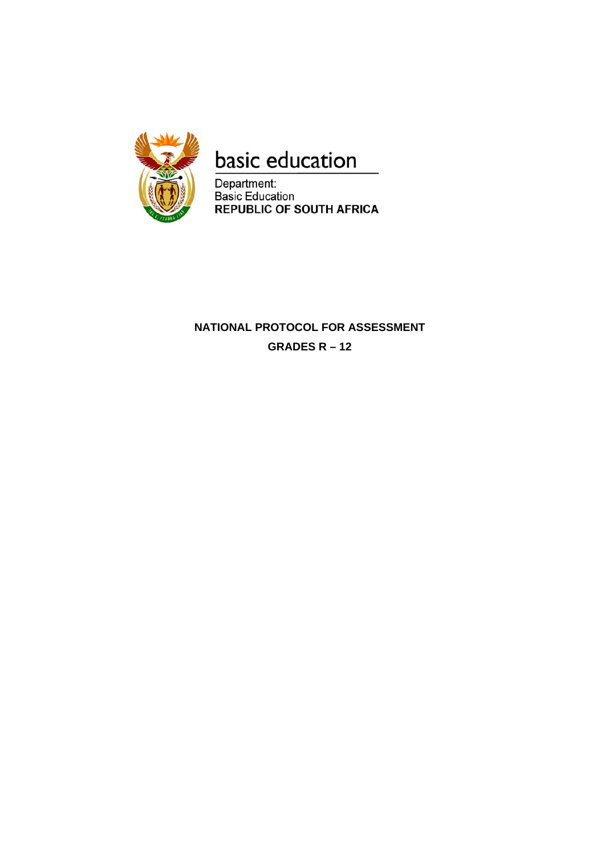

# basic education

Department:<br>Basic Education<br>REPUBLIC OF SOUTH AFRICA

# **NATIONAL PROTOCOL FOR ASSESSMENT GRADES R – 12**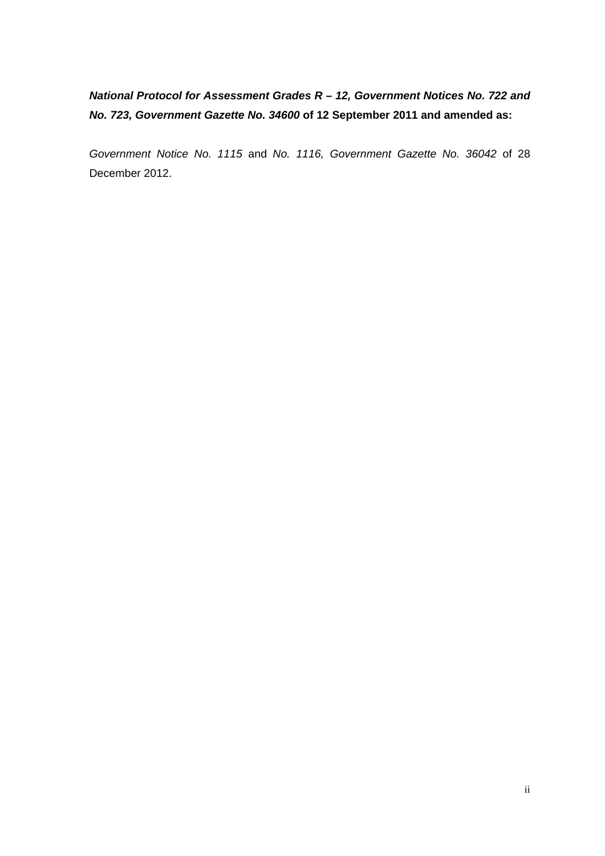# *National Protocol for Assessment Grades R – 12, Government Notices No. 722 and No. 723, Government Gazette No. 34600* **of 12 September 2011 and amended as:**

*Government Notice No. 1115* and *No. 1116, Government Gazette No. 36042* of 28 December 2012.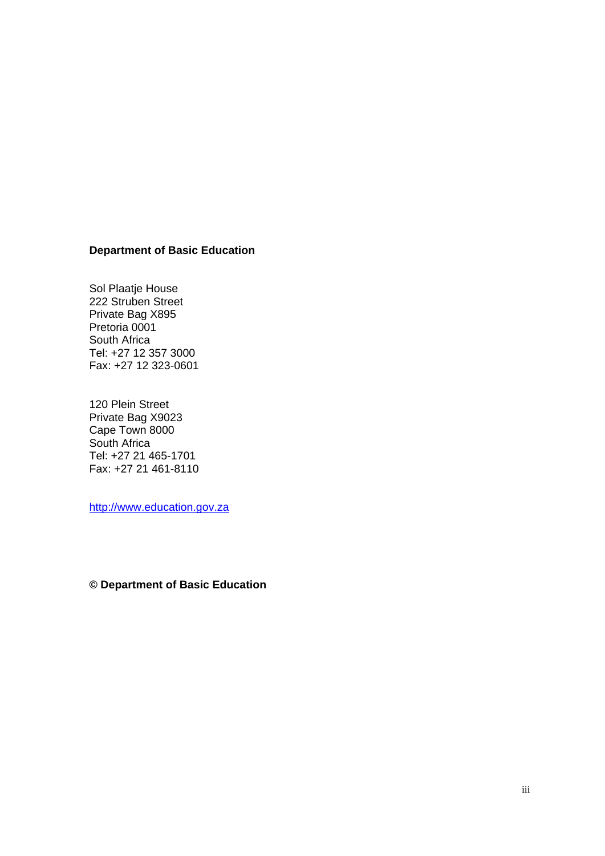#### **Department of Basic Education**

Sol Plaatje House 222 Struben Street Private Bag X895 Pretoria 0001 South Africa Tel: +27 12 357 3000 Fax: +27 12 323-0601

120 Plein Street Private Bag X9023 Cape Town 8000 South Africa Tel: +27 21 465-1701 Fax: +27 21 461-8110

http://www.education.gov.za

**© Department of Basic Education**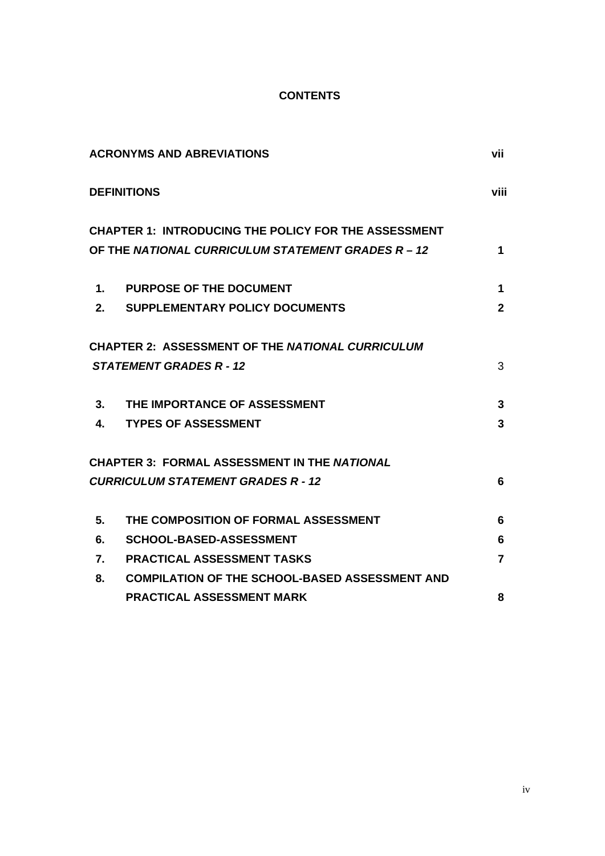### **CONTENTS**

|    | <b>ACRONYMS AND ABREVIATIONS</b>                            | vii          |
|----|-------------------------------------------------------------|--------------|
|    | <b>DEFINITIONS</b>                                          | viii         |
|    | <b>CHAPTER 1: INTRODUCING THE POLICY FOR THE ASSESSMENT</b> |              |
|    | OF THE NATIONAL CURRICULUM STATEMENT GRADES R - 12          | 1            |
| 1. | <b>PURPOSE OF THE DOCUMENT</b>                              | 1            |
|    | 2. SUPPLEMENTARY POLICY DOCUMENTS                           | $\mathbf{2}$ |
|    | <b>CHAPTER 2: ASSESSMENT OF THE NATIONAL CURRICULUM</b>     |              |
|    | <b>STATEMENT GRADES R - 12</b>                              | 3            |
| 3. | THE IMPORTANCE OF ASSESSMENT                                | 3            |
| 4. | <b>TYPES OF ASSESSMENT</b>                                  | 3            |
|    | <b>CHAPTER 3: FORMAL ASSESSMENT IN THE NATIONAL</b>         |              |
|    | <b>CURRICULUM STATEMENT GRADES R - 12</b>                   | 6            |
| 5. | THE COMPOSITION OF FORMAL ASSESSMENT                        | 6            |
| 6. | <b>SCHOOL-BASED-ASSESSMENT</b>                              | 6            |
| 7. | <b>PRACTICAL ASSESSMENT TASKS</b>                           | 7            |
| 8. | <b>COMPILATION OF THE SCHOOL-BASED ASSESSMENT AND</b>       |              |
|    | <b>PRACTICAL ASSESSMENT MARK</b>                            | 8            |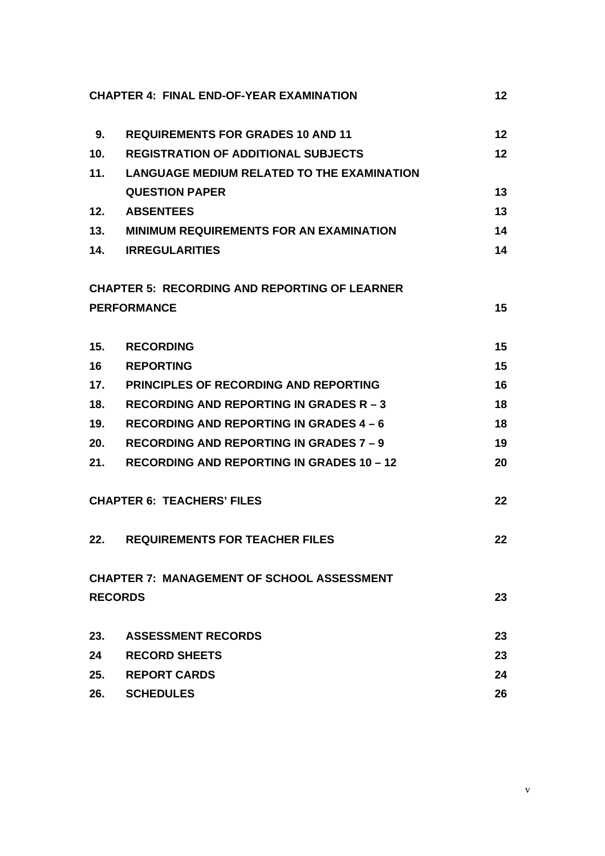|                 | <b>CHAPTER 4: FINAL END-OF-YEAR EXAMINATION</b>      | 12              |
|-----------------|------------------------------------------------------|-----------------|
| 9.              | <b>REQUIREMENTS FOR GRADES 10 AND 11</b>             | 12 <sub>2</sub> |
| 10 <sub>1</sub> | <b>REGISTRATION OF ADDITIONAL SUBJECTS</b>           | 12 <sup>2</sup> |
| 11.             | <b>LANGUAGE MEDIUM RELATED TO THE EXAMINATION</b>    |                 |
|                 | <b>QUESTION PAPER</b>                                | 13              |
| 12.             | <b>ABSENTEES</b>                                     | 13              |
| 13.             | <b>MINIMUM REQUIREMENTS FOR AN EXAMINATION</b>       | 14              |
| 14.             | <b>IRREGULARITIES</b>                                | 14              |
|                 | <b>CHAPTER 5: RECORDING AND REPORTING OF LEARNER</b> |                 |
|                 | <b>PERFORMANCE</b>                                   | 15              |
| 15.             | <b>RECORDING</b>                                     | 15              |
| 16              | <b>REPORTING</b>                                     | 15              |
| 17.             | <b>PRINCIPLES OF RECORDING AND REPORTING</b>         | 16              |
| 18.             | <b>RECORDING AND REPORTING IN GRADES R - 3</b>       | 18              |
| 19.             | <b>RECORDING AND REPORTING IN GRADES 4 - 6</b>       | 18              |
| 20.             | <b>RECORDING AND REPORTING IN GRADES 7 - 9</b>       | 19              |
| 21.             | <b>RECORDING AND REPORTING IN GRADES 10 - 12</b>     | 20              |
|                 | <b>CHAPTER 6: TEACHERS' FILES</b>                    | 22              |
| 22.             | <b>REQUIREMENTS FOR TEACHER FILES</b>                | 22              |
|                 | <b>CHAPTER 7: MANAGEMENT OF SCHOOL ASSESSMENT</b>    |                 |
|                 | <b>RECORDS</b>                                       | 23              |
| 23.             | <b>ASSESSMENT RECORDS</b>                            | 23              |
| 24              | <b>RECORD SHEETS</b>                                 | 23              |
| 25.             | <b>REPORT CARDS</b>                                  | 24              |
| 26.             | <b>SCHEDULES</b>                                     | 26              |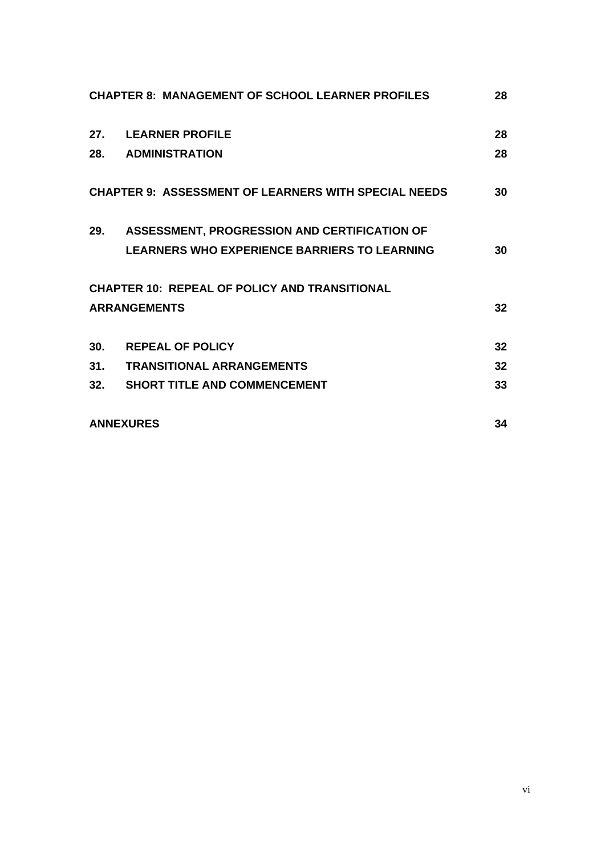|     | <b>CHAPTER 8: MANAGEMENT OF SCHOOL LEARNER PROFILES</b>     | 28 |
|-----|-------------------------------------------------------------|----|
| 27. | <b>LEARNER PROFILE</b>                                      | 28 |
|     | 28. ADMINISTRATION                                          | 28 |
|     | <b>CHAPTER 9: ASSESSMENT OF LEARNERS WITH SPECIAL NEEDS</b> | 30 |
| 29. | ASSESSMENT, PROGRESSION AND CERTIFICATION OF                |    |
|     | <b>LEARNERS WHO EXPERIENCE BARRIERS TO LEARNING</b>         | 30 |
|     | <b>CHAPTER 10: REPEAL OF POLICY AND TRANSITIONAL</b>        |    |
|     | <b>ARRANGEMENTS</b>                                         | 32 |
| 30. | <b>REPEAL OF POLICY</b>                                     | 32 |
| 31. | <b>TRANSITIONAL ARRANGEMENTS</b>                            | 32 |
|     | 32. SHORT TITLE AND COMMENCEMENT                            | 33 |
|     | <b>ANNEXURES</b>                                            | 34 |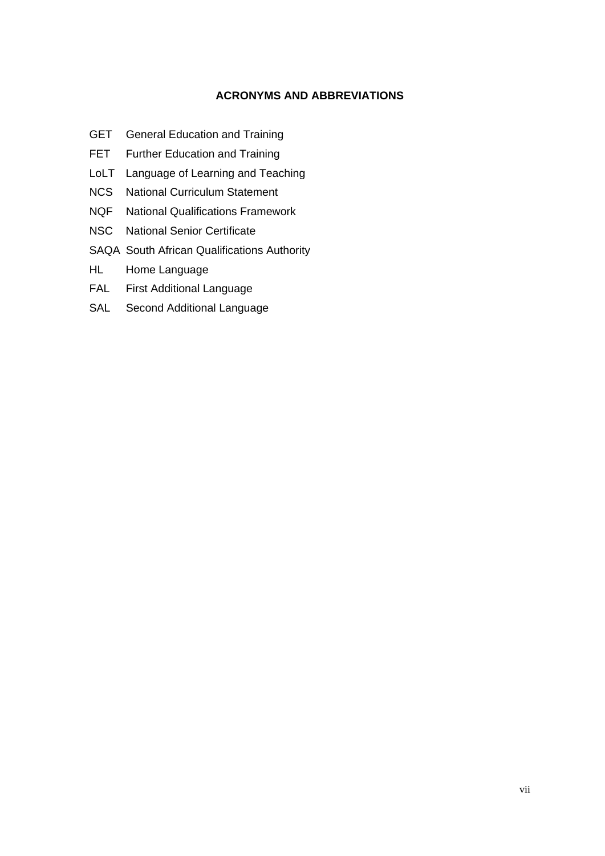### **ACRONYMS AND ABBREVIATIONS**

- GET General Education and Training
- FET Further Education and Training
- LoLT Language of Learning and Teaching
- NCS National Curriculum Statement
- NQF National Qualifications Framework
- NSC National Senior Certificate
- SAQA South African Qualifications Authority
- HL Home Language
- FAL First Additional Language
- SAL Second Additional Language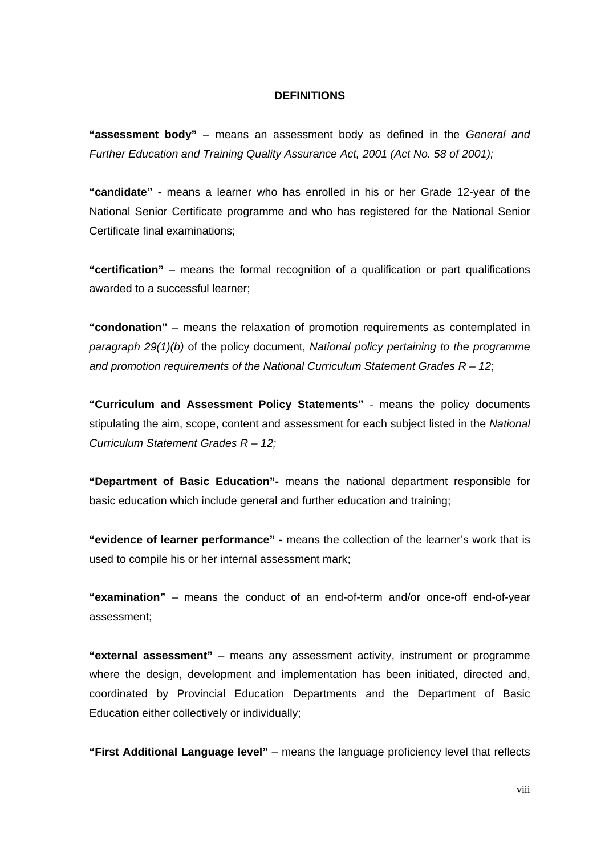#### **DEFINITIONS**

**"assessment body"** – means an assessment body as defined in the *General and Further Education and Training Quality Assurance Act, 2001 (Act No. 58 of 2001);*

**"candidate" -** means a learner who has enrolled in his or her Grade 12-year of the National Senior Certificate programme and who has registered for the National Senior Certificate final examinations;

**"certification"** – means the formal recognition of a qualification or part qualifications awarded to a successful learner;

**"condonation"** – means the relaxation of promotion requirements as contemplated in *paragraph 29(1)(b)* of the policy document, *National policy pertaining to the programme and promotion requirements of the National Curriculum Statement Grades R – 12*;

**"Curriculum and Assessment Policy Statements"** - means the policy documents stipulating the aim, scope, content and assessment for each subject listed in the *National Curriculum Statement Grades R – 12;*

**"Department of Basic Education"-** means the national department responsible for basic education which include general and further education and training;

**"evidence of learner performance" -** means the collection of the learner's work that is used to compile his or her internal assessment mark;

**"examination"** – means the conduct of an end-of-term and/or once-off end-of-year assessment;

**"external assessment"** – means any assessment activity, instrument or programme where the design, development and implementation has been initiated, directed and, coordinated by Provincial Education Departments and the Department of Basic Education either collectively or individually;

**"First Additional Language level"** – means the language proficiency level that reflects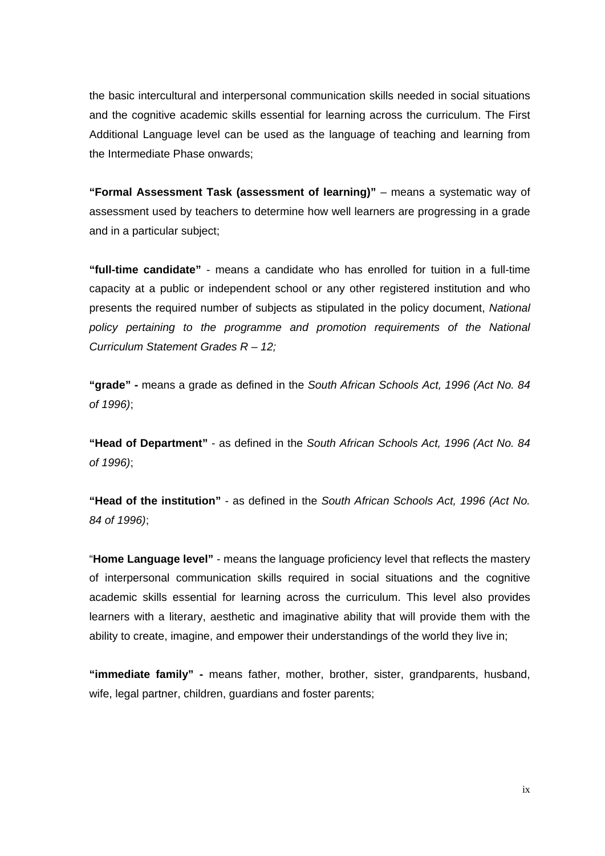the basic intercultural and interpersonal communication skills needed in social situations and the cognitive academic skills essential for learning across the curriculum. The First Additional Language level can be used as the language of teaching and learning from the Intermediate Phase onwards;

**"Formal Assessment Task (assessment of learning)"** – means a systematic way of assessment used by teachers to determine how well learners are progressing in a grade and in a particular subject;

**"full-time candidate"** - means a candidate who has enrolled for tuition in a full-time capacity at a public or independent school or any other registered institution and who presents the required number of subjects as stipulated in the policy document, *National policy pertaining to the programme and promotion requirements of the National Curriculum Statement Grades R – 12;*

**"grade" -** means a grade as defined in the *South African Schools Act, 1996 (Act No. 84 of 1996)*;

**"Head of Department"** - as defined in the *South African Schools Act, 1996 (Act No. 84 of 1996)*;

**"Head of the institution"** - as defined in the *South African Schools Act, 1996 (Act No. 84 of 1996)*;

 "**Home Language level"** - means the language proficiency level that reflects the mastery of interpersonal communication skills required in social situations and the cognitive academic skills essential for learning across the curriculum. This level also provides learners with a literary, aesthetic and imaginative ability that will provide them with the ability to create, imagine, and empower their understandings of the world they live in;

**"immediate family" -** means father, mother, brother, sister, grandparents, husband, wife, legal partner, children, guardians and foster parents;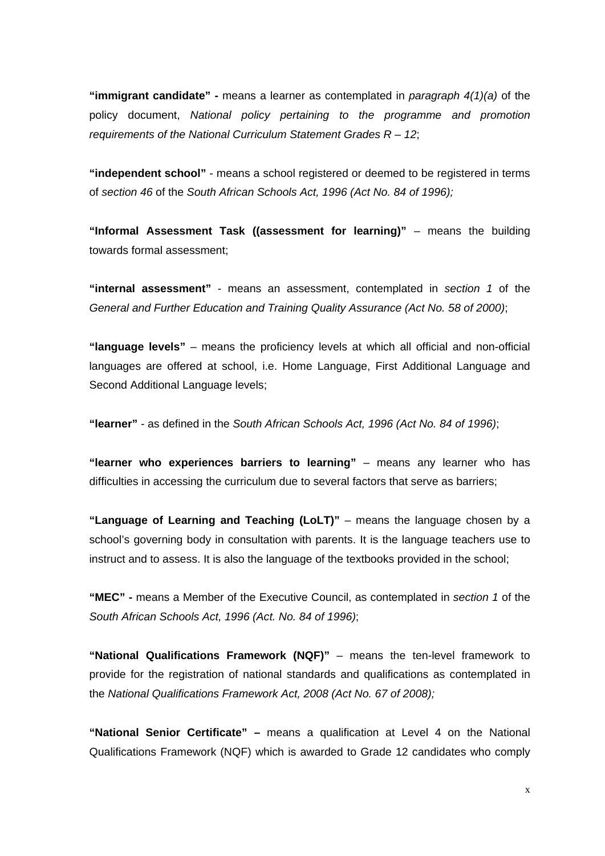**"immigrant candidate" -** means a learner as contemplated in *paragraph 4(1)(a)* of the policy document, *National policy pertaining to the programme and promotion requirements of the National Curriculum Statement Grades R – 12*;

**"independent school"** - means a school registered or deemed to be registered in terms of *section 46* of the *South African Schools Act, 1996 (Act No. 84 of 1996);*

**"Informal Assessment Task ((assessment for learning)"** – means the building towards formal assessment;

**"internal assessment"** - means an assessment, contemplated in *section 1* of the *General and Further Education and Training Quality Assurance (Act No. 58 of 2000)*;

**"language levels"** – means the proficiency levels at which all official and non-official languages are offered at school, i.e. Home Language, First Additional Language and Second Additional Language levels;

**"learner"** - as defined in the *South African Schools Act, 1996 (Act No. 84 of 1996)*;

**"learner who experiences barriers to learning"** – means any learner who has difficulties in accessing the curriculum due to several factors that serve as barriers;

**"Language of Learning and Teaching (LoLT)"** – means the language chosen by a school's governing body in consultation with parents. It is the language teachers use to instruct and to assess. It is also the language of the textbooks provided in the school;

**"MEC" -** means a Member of the Executive Council, as contemplated in *section 1* of the *South African Schools Act, 1996 (Act. No. 84 of 1996)*;

**"National Qualifications Framework (NQF)"** – means the ten-level framework to provide for the registration of national standards and qualifications as contemplated in the *National Qualifications Framework Act, 2008 (Act No. 67 of 2008);*

**"National Senior Certificate" –** means a qualification at Level 4 on the National Qualifications Framework (NQF) which is awarded to Grade 12 candidates who comply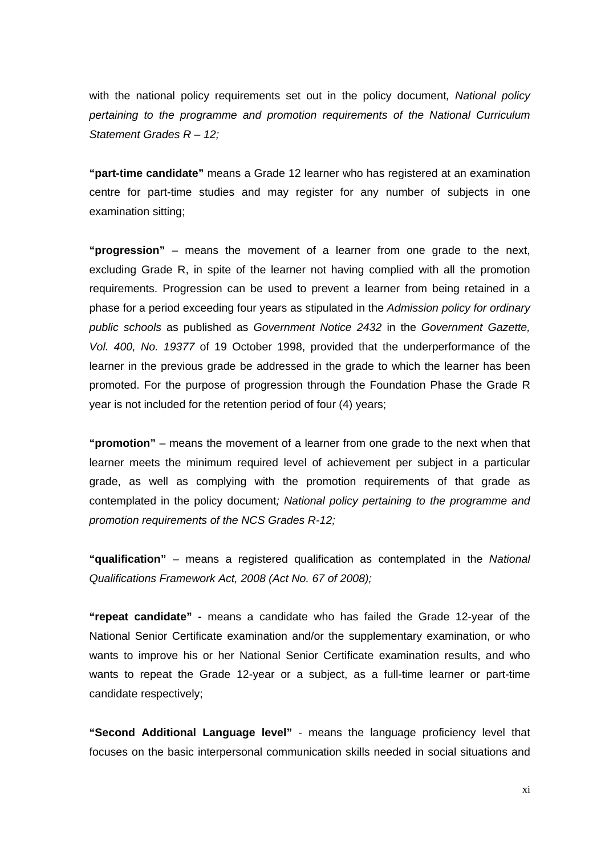with the national policy requirements set out in the policy document*, National policy pertaining to the programme and promotion requirements of the National Curriculum Statement Grades R – 12;*

**"part-time candidate"** means a Grade 12 learner who has registered at an examination centre for part-time studies and may register for any number of subjects in one examination sitting;

**"progression"** – means the movement of a learner from one grade to the next, excluding Grade R, in spite of the learner not having complied with all the promotion requirements. Progression can be used to prevent a learner from being retained in a phase for a period exceeding four years as stipulated in the *Admission policy for ordinary public schools* as published as *Government Notice 2432* in the *Government Gazette, Vol. 400, No. 19377* of 19 October 1998, provided that the underperformance of the learner in the previous grade be addressed in the grade to which the learner has been promoted. For the purpose of progression through the Foundation Phase the Grade R year is not included for the retention period of four (4) years;

**"promotion"** – means the movement of a learner from one grade to the next when that learner meets the minimum required level of achievement per subject in a particular grade, as well as complying with the promotion requirements of that grade as contemplated in the policy document*; National policy pertaining to the programme and promotion requirements of the NCS Grades R-12;*

**"qualification"** – means a registered qualification as contemplated in the *National Qualifications Framework Act, 2008 (Act No. 67 of 2008);*

**"repeat candidate" -** means a candidate who has failed the Grade 12-year of the National Senior Certificate examination and/or the supplementary examination, or who wants to improve his or her National Senior Certificate examination results, and who wants to repeat the Grade 12-year or a subject, as a full-time learner or part-time candidate respectively;

**"Second Additional Language level"** - means the language proficiency level that focuses on the basic interpersonal communication skills needed in social situations and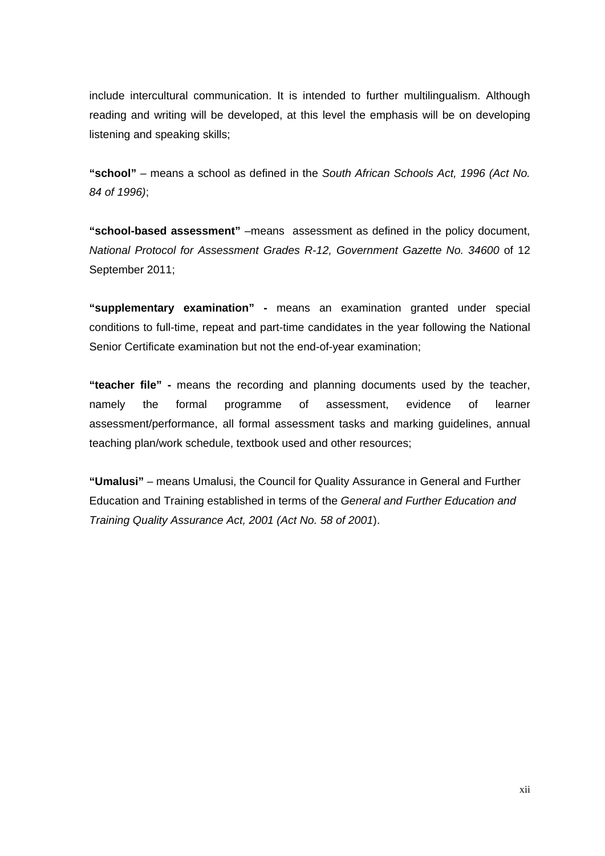include intercultural communication. It is intended to further multilingualism. Although reading and writing will be developed, at this level the emphasis will be on developing listening and speaking skills;

**"school"** – means a school as defined in the *South African Schools Act, 1996 (Act No. 84 of 1996)*;

**"school-based assessment"** –means assessment as defined in the policy document, *National Protocol for Assessment Grades R-12, Government Gazette No. 34600* of 12 September 2011;

**"supplementary examination" -** means an examination granted under special conditions to full-time, repeat and part-time candidates in the year following the National Senior Certificate examination but not the end-of-year examination;

**"teacher file" -** means the recording and planning documents used by the teacher, namely the formal programme of assessment, evidence of learner assessment/performance, all formal assessment tasks and marking guidelines, annual teaching plan/work schedule, textbook used and other resources;

**"Umalusi"** – means Umalusi, the Council for Quality Assurance in General and Further Education and Training established in terms of the *General and Further Education and Training Quality Assurance Act, 2001 (Act No. 58 of 2001*).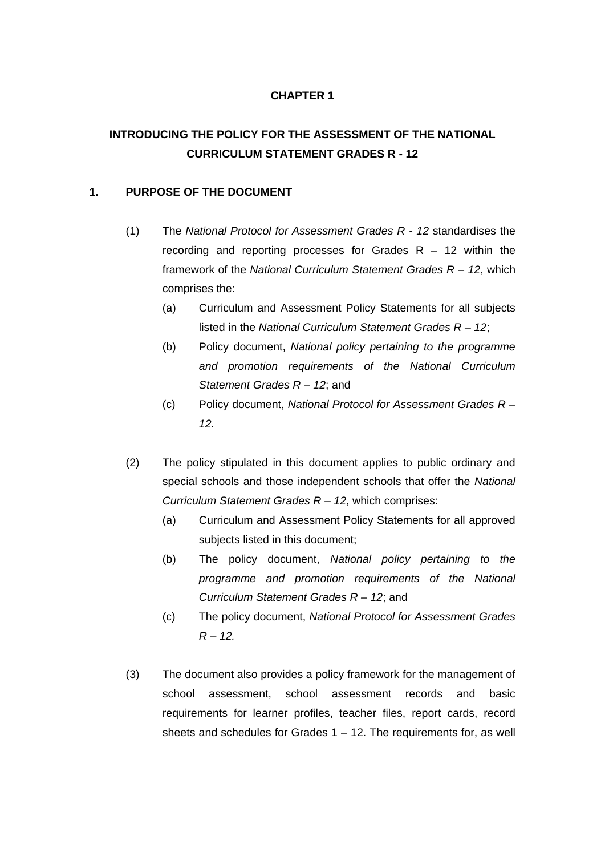# **INTRODUCING THE POLICY FOR THE ASSESSMENT OF THE NATIONAL CURRICULUM STATEMENT GRADES R - 12**

### **1. PURPOSE OF THE DOCUMENT**

- (1) The *National Protocol for Assessment Grades R 12* standardises the recording and reporting processes for Grades  $R - 12$  within the framework of the *National Curriculum Statement Grades R – 12*, which comprises the:
	- (a) Curriculum and Assessment Policy Statements for all subjects listed in the *National Curriculum Statement Grades R – 12*;
	- (b) Policy document, *National policy pertaining to the programme and promotion requirements of the National Curriculum Statement Grades R – 12*; and
	- (c) Policy document, *National Protocol for Assessment Grades R 12.*
- (2) The policy stipulated in this document applies to public ordinary and special schools and those independent schools that offer the *National Curriculum Statement Grades R – 12*, which comprises:
	- (a) Curriculum and Assessment Policy Statements for all approved subjects listed in this document;
	- (b) The policy document, *National policy pertaining to the programme and promotion requirements of the National Curriculum Statement Grades R – 12*; and
	- (c) The policy document, *National Protocol for Assessment Grades R – 12.*
- (3) The document also provides a policy framework for the management of school assessment, school assessment records and basic requirements for learner profiles, teacher files, report cards, record sheets and schedules for Grades 1 – 12. The requirements for, as well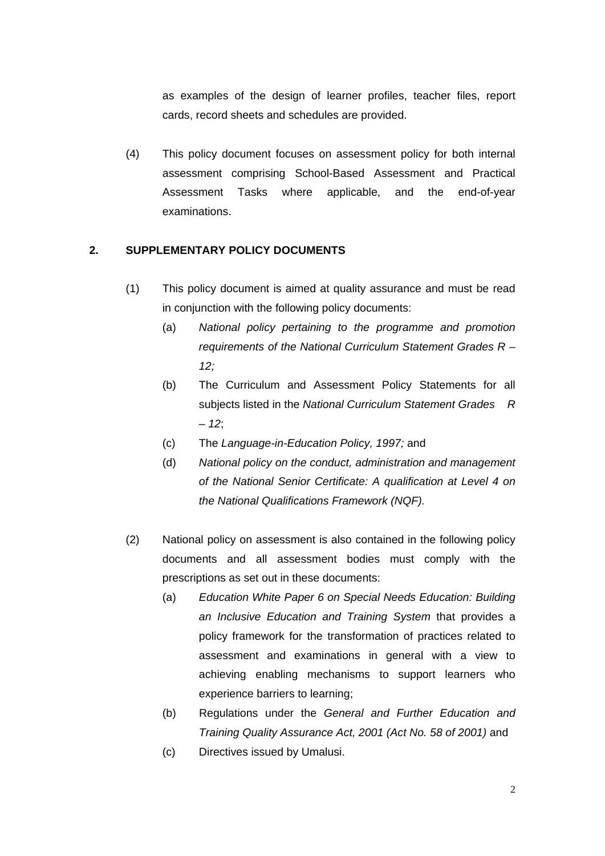as examples of the design of learner profiles, teacher files, report cards, record sheets and schedules are provided.

(4) This policy document focuses on assessment policy for both internal assessment comprising School-Based Assessment and Practical Assessment Tasks where applicable, and the end-of-year examinations.

### **2. SUPPLEMENTARY POLICY DOCUMENTS**

- (1) This policy document is aimed at quality assurance and must be read in conjunction with the following policy documents:
	- (a) *National policy pertaining to the programme and promotion requirements of the National Curriculum Statement Grades R – 12;*
	- (b) The Curriculum and Assessment Policy Statements for all subjects listed in the *National Curriculum Statement Grades R – 12*;
	- (c) The *Language-in-Education Policy, 1997;* and
	- (d) *National policy on the conduct, administration and management of the National Senior Certificate: A qualification at Level 4 on the National Qualifications Framework (NQF).*
- (2) National policy on assessment is also contained in the following policy documents and all assessment bodies must comply with the prescriptions as set out in these documents:
	- (a) *Education White Paper 6 on Special Needs Education: Building an Inclusive Education and Training System* that provides a policy framework for the transformation of practices related to assessment and examinations in general with a view to achieving enabling mechanisms to support learners who experience barriers to learning;
	- (b) Regulations under the *General and Further Education and Training Quality Assurance Act, 2001 (Act No. 58 of 2001)* and
	- (c) Directives issued by Umalusi.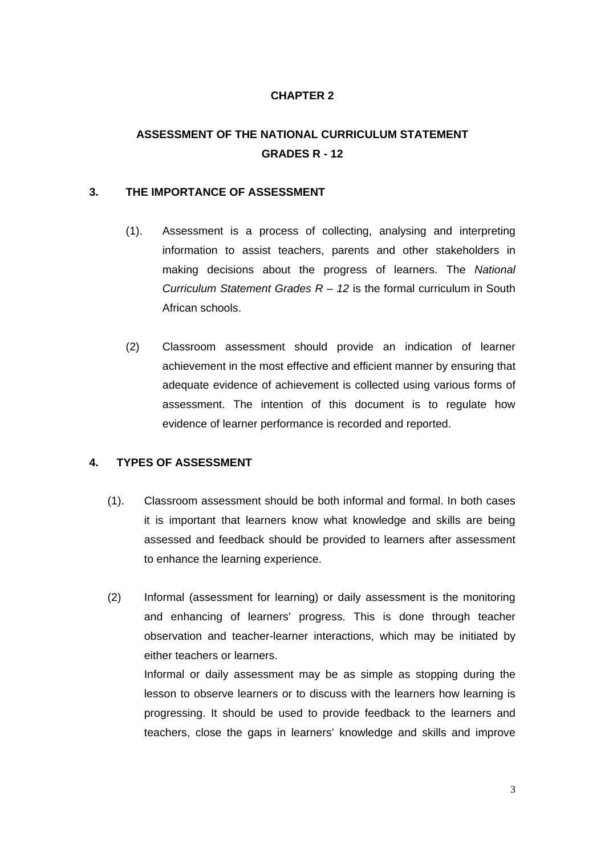# **ASSESSMENT OF THE NATIONAL CURRICULUM STATEMENT GRADES R - 12**

#### **3. THE IMPORTANCE OF ASSESSMENT**

- (1). Assessment is a process of collecting, analysing and interpreting information to assist teachers, parents and other stakeholders in making decisions about the progress of learners. The *National Curriculum Statement Grades R – 12* is the formal curriculum in South African schools.
- (2) Classroom assessment should provide an indication of learner achievement in the most effective and efficient manner by ensuring that adequate evidence of achievement is collected using various forms of assessment. The intention of this document is to regulate how evidence of learner performance is recorded and reported.

### **4. TYPES OF ASSESSMENT**

- (1). Classroom assessment should be both informal and formal. In both cases it is important that learners know what knowledge and skills are being assessed and feedback should be provided to learners after assessment to enhance the learning experience.
- (2) Informal (assessment for learning) or daily assessment is the monitoring and enhancing of learners' progress. This is done through teacher observation and teacher-learner interactions, which may be initiated by either teachers or learners.

Informal or daily assessment may be as simple as stopping during the lesson to observe learners or to discuss with the learners how learning is progressing. It should be used to provide feedback to the learners and teachers, close the gaps in learners' knowledge and skills and improve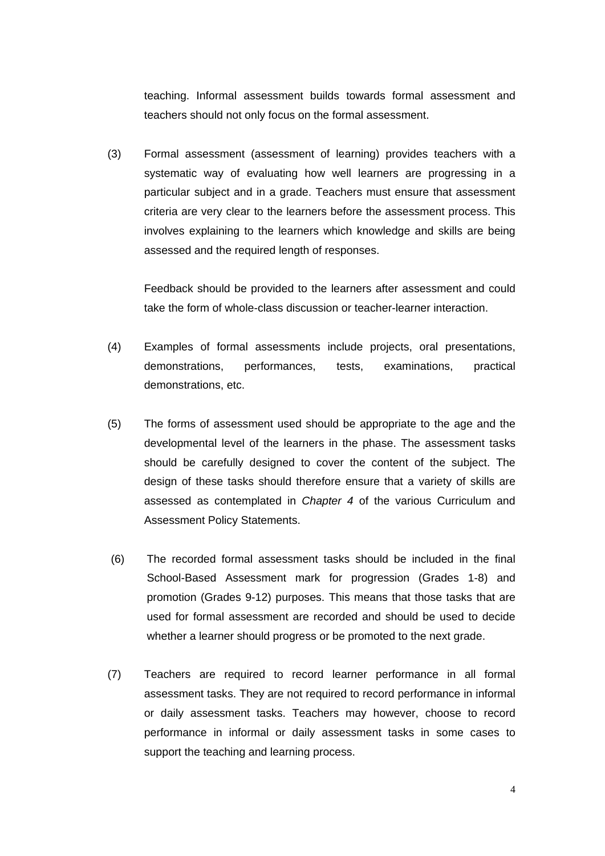teaching. Informal assessment builds towards formal assessment and teachers should not only focus on the formal assessment.

(3) Formal assessment (assessment of learning) provides teachers with a systematic way of evaluating how well learners are progressing in a particular subject and in a grade. Teachers must ensure that assessment criteria are very clear to the learners before the assessment process. This involves explaining to the learners which knowledge and skills are being assessed and the required length of responses.

Feedback should be provided to the learners after assessment and could take the form of whole-class discussion or teacher-learner interaction.

- (4) Examples of formal assessments include projects, oral presentations, demonstrations, performances, tests, examinations, practical demonstrations, etc.
- (5) The forms of assessment used should be appropriate to the age and the developmental level of the learners in the phase. The assessment tasks should be carefully designed to cover the content of the subject. The design of these tasks should therefore ensure that a variety of skills are assessed as contemplated in *Chapter 4* of the various Curriculum and Assessment Policy Statements.
- (6) The recorded formal assessment tasks should be included in the final School-Based Assessment mark for progression (Grades 1-8) and promotion (Grades 9-12) purposes. This means that those tasks that are used for formal assessment are recorded and should be used to decide whether a learner should progress or be promoted to the next grade.
- (7) Teachers are required to record learner performance in all formal assessment tasks. They are not required to record performance in informal or daily assessment tasks. Teachers may however, choose to record performance in informal or daily assessment tasks in some cases to support the teaching and learning process.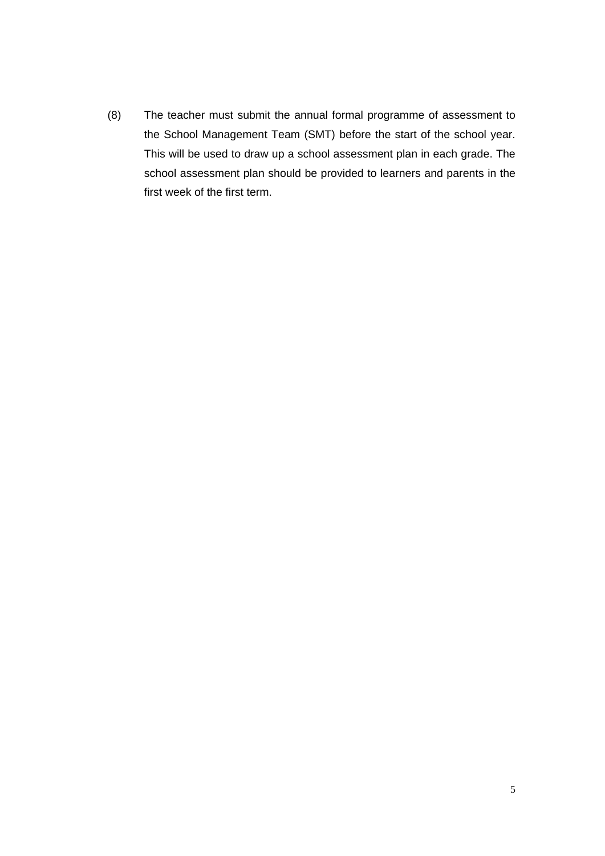(8) The teacher must submit the annual formal programme of assessment to the School Management Team (SMT) before the start of the school year. This will be used to draw up a school assessment plan in each grade. The school assessment plan should be provided to learners and parents in the first week of the first term.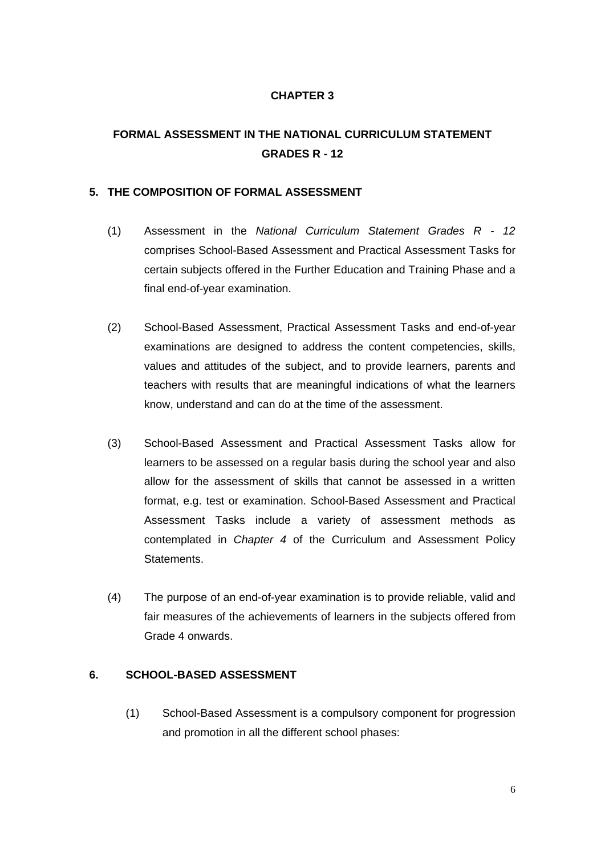# **FORMAL ASSESSMENT IN THE NATIONAL CURRICULUM STATEMENT GRADES R - 12**

### **5. THE COMPOSITION OF FORMAL ASSESSMENT**

- (1) Assessment in the *National Curriculum Statement Grades R 12* comprises School-Based Assessment and Practical Assessment Tasks for certain subjects offered in the Further Education and Training Phase and a final end-of-year examination.
- (2) School-Based Assessment, Practical Assessment Tasks and end-of-year examinations are designed to address the content competencies, skills, values and attitudes of the subject, and to provide learners, parents and teachers with results that are meaningful indications of what the learners know, understand and can do at the time of the assessment.
- (3) School-Based Assessment and Practical Assessment Tasks allow for learners to be assessed on a regular basis during the school year and also allow for the assessment of skills that cannot be assessed in a written format, e.g. test or examination. School-Based Assessment and Practical Assessment Tasks include a variety of assessment methods as contemplated in *Chapter 4* of the Curriculum and Assessment Policy Statements.
- (4) The purpose of an end-of-year examination is to provide reliable, valid and fair measures of the achievements of learners in the subjects offered from Grade 4 onwards.

### **6. SCHOOL-BASED ASSESSMENT**

(1) School-Based Assessment is a compulsory component for progression and promotion in all the different school phases: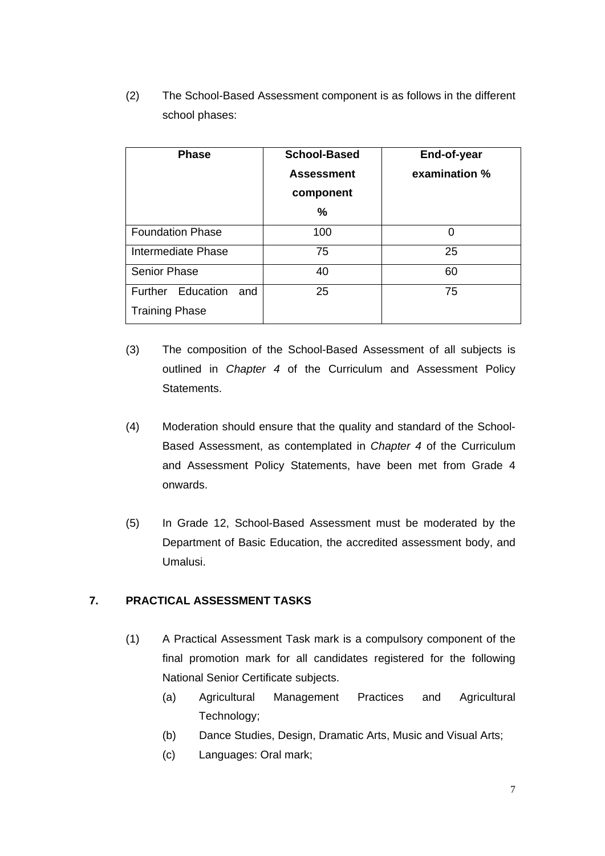(2) The School-Based Assessment component is as follows in the different school phases:

| <b>Phase</b>             | <b>School-Based</b> | End-of-year   |
|--------------------------|---------------------|---------------|
|                          | <b>Assessment</b>   | examination % |
|                          | component           |               |
|                          | %                   |               |
| <b>Foundation Phase</b>  | 100                 | 0             |
| Intermediate Phase       | 75                  | 25            |
| <b>Senior Phase</b>      | 40                  | 60            |
| Further Education<br>and | 25                  | 75            |
| <b>Training Phase</b>    |                     |               |

- (3) The composition of the School-Based Assessment of all subjects is outlined in *Chapter 4* of the Curriculum and Assessment Policy Statements.
- (4) Moderation should ensure that the quality and standard of the School-Based Assessment, as contemplated in *Chapter 4* of the Curriculum and Assessment Policy Statements, have been met from Grade 4 onwards.
- (5) In Grade 12, School-Based Assessment must be moderated by the Department of Basic Education, the accredited assessment body, and Umalusi.

### **7. PRACTICAL ASSESSMENT TASKS**

- (1) A Practical Assessment Task mark is a compulsory component of the final promotion mark for all candidates registered for the following National Senior Certificate subjects.
	- (a) Agricultural Management Practices and Agricultural Technology;
	- (b) Dance Studies, Design, Dramatic Arts, Music and Visual Arts;
	- (c) Languages: Oral mark;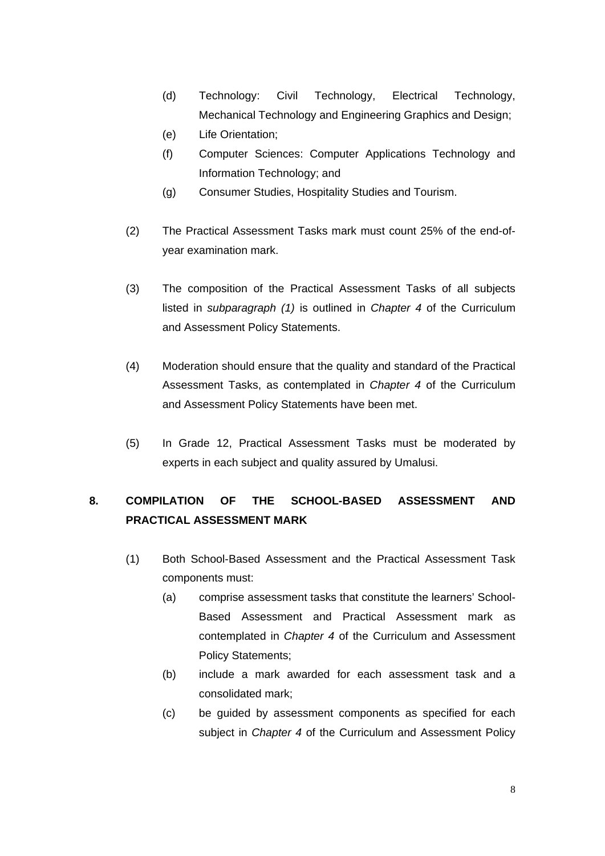- (d) Technology: Civil Technology, Electrical Technology, Mechanical Technology and Engineering Graphics and Design;
- (e) Life Orientation;
- (f) Computer Sciences: Computer Applications Technology and Information Technology; and
- (g) Consumer Studies, Hospitality Studies and Tourism.
- (2) The Practical Assessment Tasks mark must count 25% of the end-ofyear examination mark.
- (3) The composition of the Practical Assessment Tasks of all subjects listed in *subparagraph (1)* is outlined in *Chapter 4* of the Curriculum and Assessment Policy Statements.
- (4) Moderation should ensure that the quality and standard of the Practical Assessment Tasks, as contemplated in *Chapter 4* of the Curriculum and Assessment Policy Statements have been met.
- (5) In Grade 12, Practical Assessment Tasks must be moderated by experts in each subject and quality assured by Umalusi.

# **8. COMPILATION OF THE SCHOOL-BASED ASSESSMENT AND PRACTICAL ASSESSMENT MARK**

- (1) Both School-Based Assessment and the Practical Assessment Task components must:
	- (a) comprise assessment tasks that constitute the learners' School-Based Assessment and Practical Assessment mark as contemplated in *Chapter 4* of the Curriculum and Assessment Policy Statements;
	- (b) include a mark awarded for each assessment task and a consolidated mark;
	- (c) be guided by assessment components as specified for each subject in *Chapter 4* of the Curriculum and Assessment Policy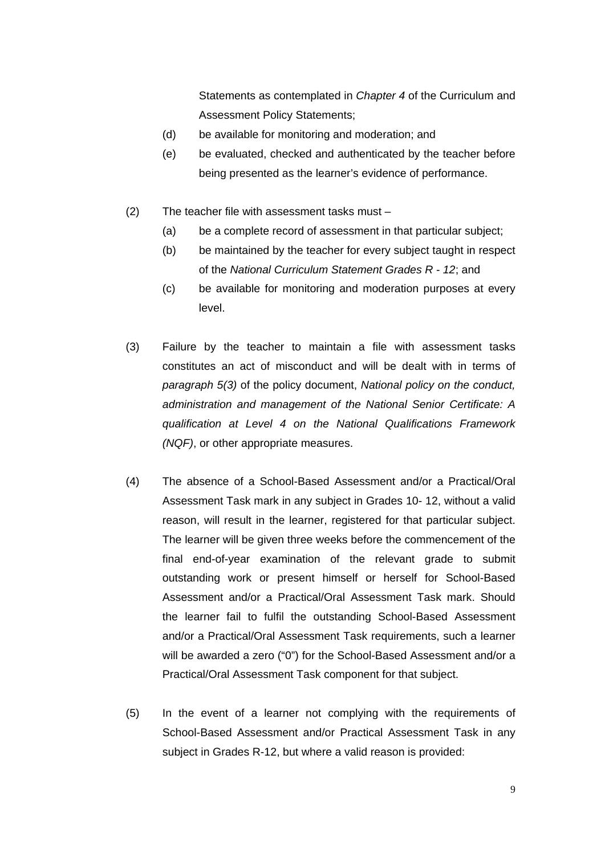Statements as contemplated in *Chapter 4* of the Curriculum and Assessment Policy Statements;

- (d) be available for monitoring and moderation; and
- (e) be evaluated, checked and authenticated by the teacher before being presented as the learner's evidence of performance.
- (2) The teacher file with assessment tasks must
	- (a) be a complete record of assessment in that particular subject;
	- (b) be maintained by the teacher for every subject taught in respect of the *National Curriculum Statement Grades R - 12*; and
	- (c) be available for monitoring and moderation purposes at every level.
- (3) Failure by the teacher to maintain a file with assessment tasks constitutes an act of misconduct and will be dealt with in terms of *paragraph 5(3)* of the policy document, *National policy on the conduct, administration and management of the National Senior Certificate: A qualification at Level 4 on the National Qualifications Framework (NQF)*, or other appropriate measures.
- (4) The absence of a School-Based Assessment and/or a Practical/Oral Assessment Task mark in any subject in Grades 10- 12, without a valid reason, will result in the learner, registered for that particular subject. The learner will be given three weeks before the commencement of the final end-of-year examination of the relevant grade to submit outstanding work or present himself or herself for School-Based Assessment and/or a Practical/Oral Assessment Task mark. Should the learner fail to fulfil the outstanding School-Based Assessment and/or a Practical/Oral Assessment Task requirements, such a learner will be awarded a zero ("0") for the School-Based Assessment and/or a Practical/Oral Assessment Task component for that subject.
- (5) In the event of a learner not complying with the requirements of School-Based Assessment and/or Practical Assessment Task in any subject in Grades R-12, but where a valid reason is provided: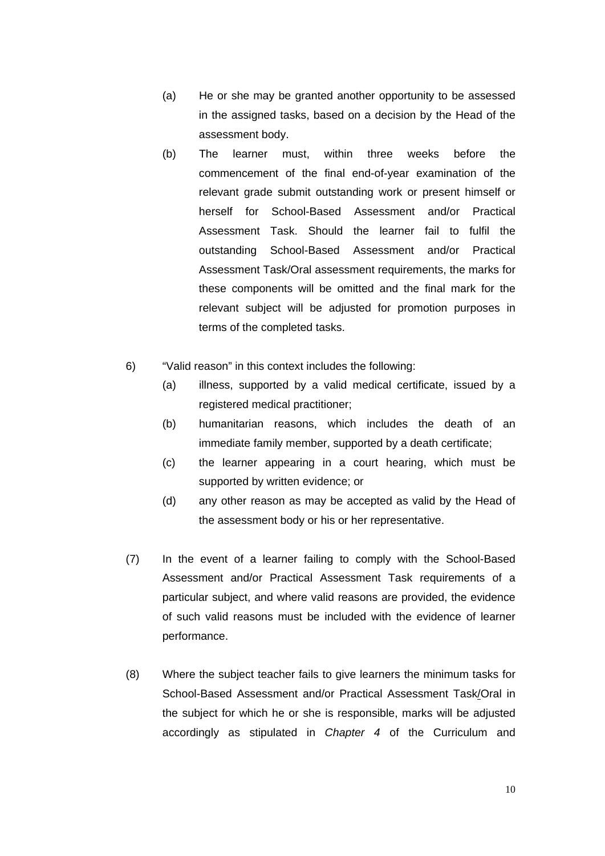- (a) He or she may be granted another opportunity to be assessed in the assigned tasks, based on a decision by the Head of the assessment body.
- (b) The learner must, within three weeks before the commencement of the final end-of-year examination of the relevant grade submit outstanding work or present himself or herself for School-Based Assessment and/or Practical Assessment Task. Should the learner fail to fulfil the outstanding School-Based Assessment and/or Practical Assessment Task/Oral assessment requirements, the marks for these components will be omitted and the final mark for the relevant subject will be adjusted for promotion purposes in terms of the completed tasks.
- 6) "Valid reason" in this context includes the following:
	- (a) illness, supported by a valid medical certificate, issued by a registered medical practitioner;
	- (b) humanitarian reasons, which includes the death of an immediate family member, supported by a death certificate;
	- (c) the learner appearing in a court hearing, which must be supported by written evidence; or
	- (d) any other reason as may be accepted as valid by the Head of the assessment body or his or her representative.
- (7) In the event of a learner failing to comply with the School-Based Assessment and/or Practical Assessment Task requirements of a particular subject, and where valid reasons are provided, the evidence of such valid reasons must be included with the evidence of learner performance.
- (8) Where the subject teacher fails to give learners the minimum tasks for School-Based Assessment and/or Practical Assessment Task/Oral in the subject for which he or she is responsible, marks will be adjusted accordingly as stipulated in *Chapter 4* of the Curriculum and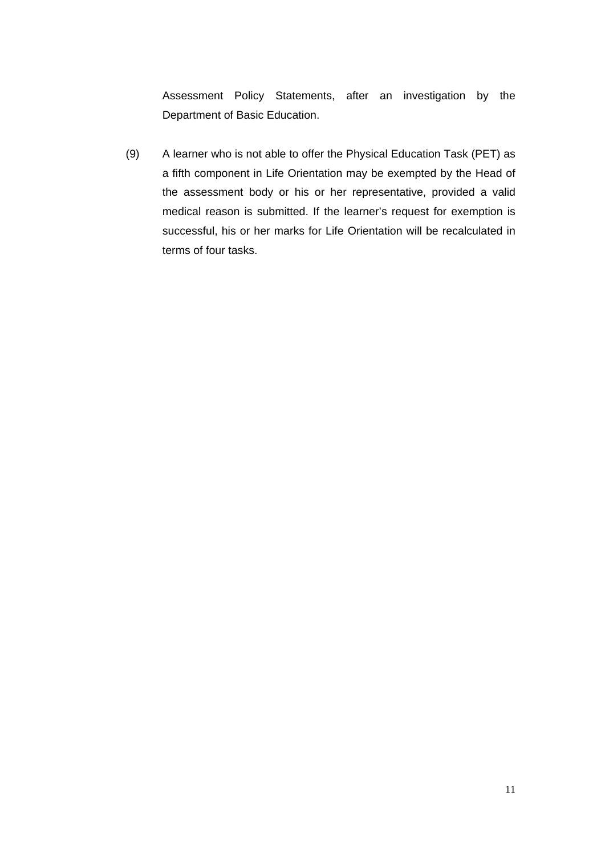Assessment Policy Statements, after an investigation by the Department of Basic Education.

(9) A learner who is not able to offer the Physical Education Task (PET) as a fifth component in Life Orientation may be exempted by the Head of the assessment body or his or her representative, provided a valid medical reason is submitted. If the learner's request for exemption is successful, his or her marks for Life Orientation will be recalculated in terms of four tasks.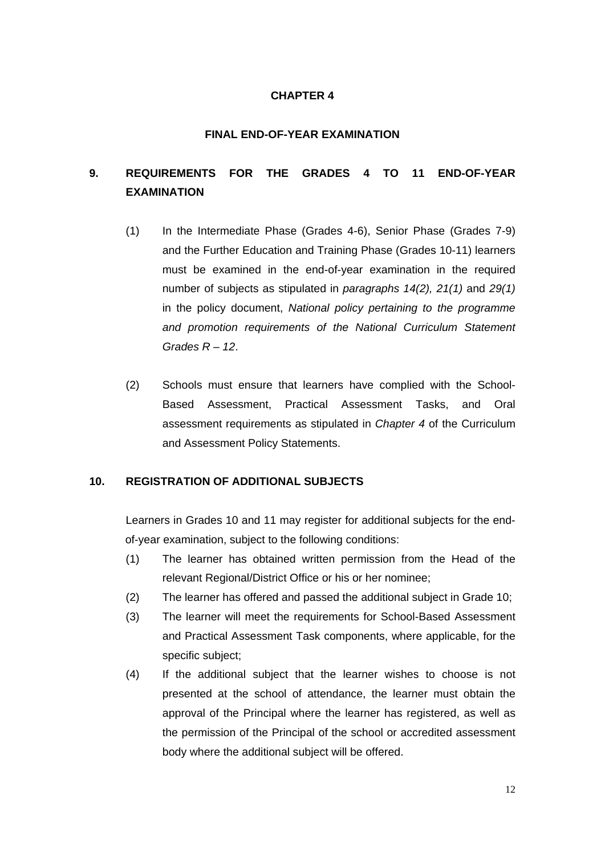#### **FINAL END-OF-YEAR EXAMINATION**

# **9. REQUIREMENTS FOR THE GRADES 4 TO 11 END-OF-YEAR EXAMINATION**

- (1) In the Intermediate Phase (Grades 4-6), Senior Phase (Grades 7-9) and the Further Education and Training Phase (Grades 10-11) learners must be examined in the end-of-year examination in the required number of subjects as stipulated in *paragraphs 14(2), 21(1)* and *29(1)* in the policy document, *National policy pertaining to the programme and promotion requirements of the National Curriculum Statement Grades R – 12*.
- (2) Schools must ensure that learners have complied with the School-Based Assessment, Practical Assessment Tasks, and Oral assessment requirements as stipulated in *Chapter 4* of the Curriculum and Assessment Policy Statements.

#### **10. REGISTRATION OF ADDITIONAL SUBJECTS**

Learners in Grades 10 and 11 may register for additional subjects for the endof-year examination, subject to the following conditions:

- (1) The learner has obtained written permission from the Head of the relevant Regional/District Office or his or her nominee;
- (2) The learner has offered and passed the additional subject in Grade 10;
- (3) The learner will meet the requirements for School-Based Assessment and Practical Assessment Task components, where applicable, for the specific subject;
- (4) If the additional subject that the learner wishes to choose is not presented at the school of attendance, the learner must obtain the approval of the Principal where the learner has registered, as well as the permission of the Principal of the school or accredited assessment body where the additional subject will be offered.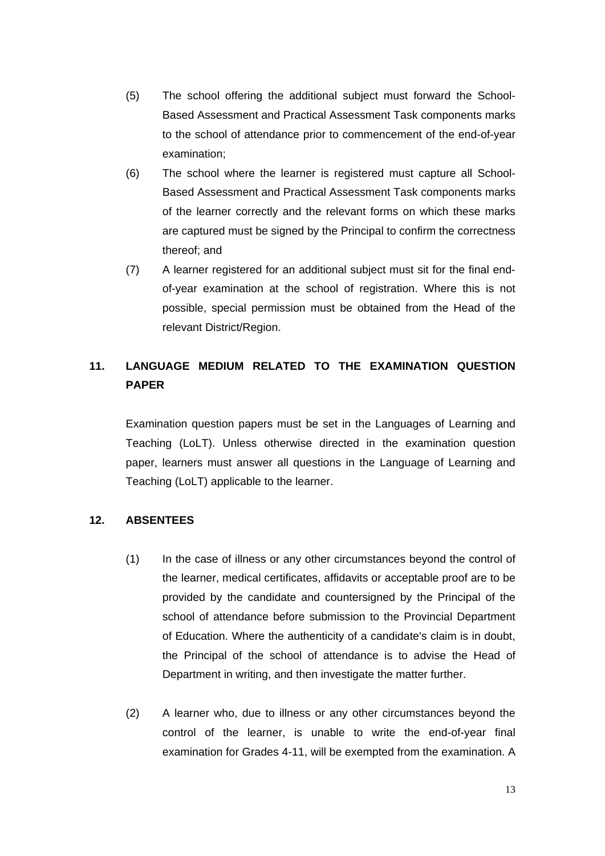- (5) The school offering the additional subject must forward the School-Based Assessment and Practical Assessment Task components marks to the school of attendance prior to commencement of the end-of-year examination;
- (6) The school where the learner is registered must capture all School-Based Assessment and Practical Assessment Task components marks of the learner correctly and the relevant forms on which these marks are captured must be signed by the Principal to confirm the correctness thereof; and
- (7) A learner registered for an additional subject must sit for the final endof-year examination at the school of registration. Where this is not possible, special permission must be obtained from the Head of the relevant District/Region.

# **11. LANGUAGE MEDIUM RELATED TO THE EXAMINATION QUESTION PAPER**

Examination question papers must be set in the Languages of Learning and Teaching (LoLT). Unless otherwise directed in the examination question paper, learners must answer all questions in the Language of Learning and Teaching (LoLT) applicable to the learner.

#### **12. ABSENTEES**

- (1) In the case of illness or any other circumstances beyond the control of the learner, medical certificates, affidavits or acceptable proof are to be provided by the candidate and countersigned by the Principal of the school of attendance before submission to the Provincial Department of Education. Where the authenticity of a candidate's claim is in doubt, the Principal of the school of attendance is to advise the Head of Department in writing, and then investigate the matter further.
- (2) A learner who, due to illness or any other circumstances beyond the control of the learner, is unable to write the end-of-year final examination for Grades 4-11, will be exempted from the examination. A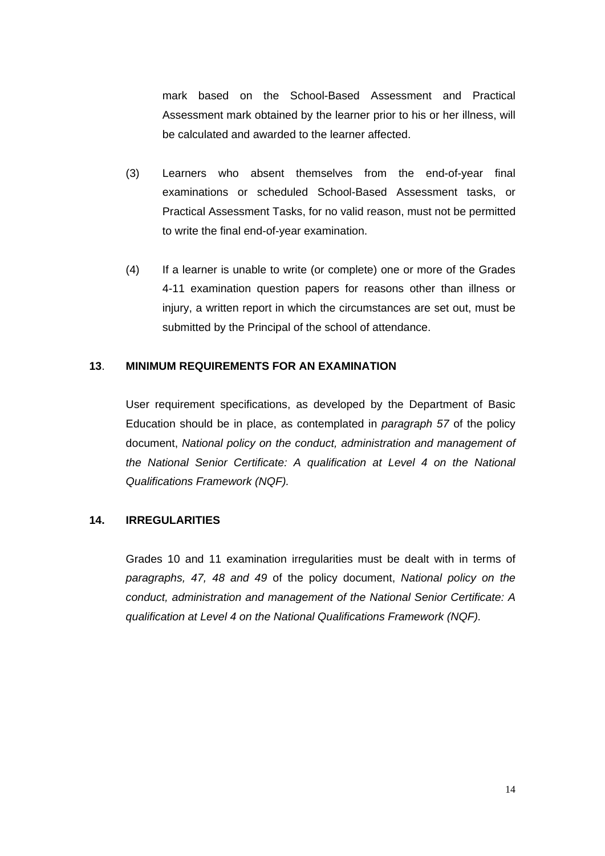mark based on the School-Based Assessment and Practical Assessment mark obtained by the learner prior to his or her illness, will be calculated and awarded to the learner affected.

- (3) Learners who absent themselves from the end-of-year final examinations or scheduled School-Based Assessment tasks, or Practical Assessment Tasks, for no valid reason, must not be permitted to write the final end-of-year examination.
- (4) If a learner is unable to write (or complete) one or more of the Grades 4-11 examination question papers for reasons other than illness or injury, a written report in which the circumstances are set out, must be submitted by the Principal of the school of attendance.

#### **13**. **MINIMUM REQUIREMENTS FOR AN EXAMINATION**

User requirement specifications, as developed by the Department of Basic Education should be in place, as contemplated in *paragraph 57* of the policy document, *National policy on the conduct, administration and management of the National Senior Certificate: A qualification at Level 4 on the National Qualifications Framework (NQF).*

#### **14. IRREGULARITIES**

Grades 10 and 11 examination irregularities must be dealt with in terms of *paragraphs, 47, 48 and 49* of the policy document, *National policy on the conduct, administration and management of the National Senior Certificate: A qualification at Level 4 on the National Qualifications Framework (NQF).*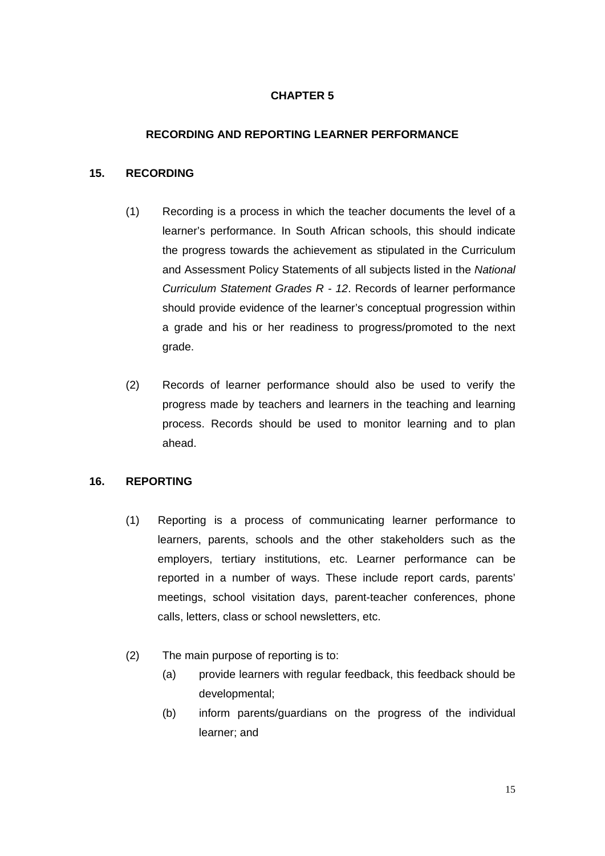### **RECORDING AND REPORTING LEARNER PERFORMANCE**

#### **15. RECORDING**

- (1) Recording is a process in which the teacher documents the level of a learner's performance. In South African schools, this should indicate the progress towards the achievement as stipulated in the Curriculum and Assessment Policy Statements of all subjects listed in the *National Curriculum Statement Grades R - 12*. Records of learner performance should provide evidence of the learner's conceptual progression within a grade and his or her readiness to progress/promoted to the next grade.
- (2) Records of learner performance should also be used to verify the progress made by teachers and learners in the teaching and learning process. Records should be used to monitor learning and to plan ahead.

### **16. REPORTING**

- (1) Reporting is a process of communicating learner performance to learners, parents, schools and the other stakeholders such as the employers, tertiary institutions, etc. Learner performance can be reported in a number of ways. These include report cards, parents' meetings, school visitation days, parent-teacher conferences, phone calls, letters, class or school newsletters, etc.
- (2) The main purpose of reporting is to:
	- (a) provide learners with regular feedback, this feedback should be developmental;
	- (b) inform parents/guardians on the progress of the individual learner; and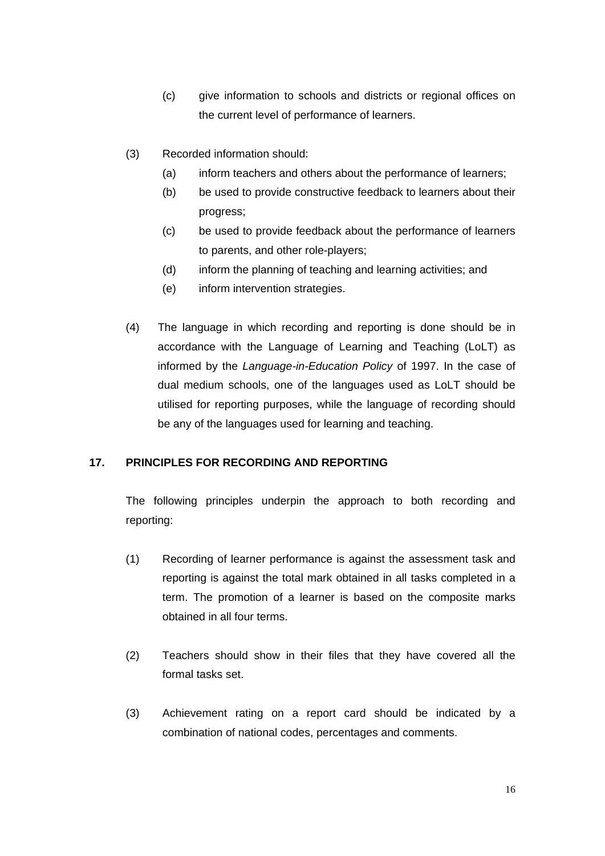- (c) give information to schools and districts or regional offices on the current level of performance of learners.
- (3) Recorded information should:
	- (a) inform teachers and others about the performance of learners;
	- (b) be used to provide constructive feedback to learners about their progress;
	- (c) be used to provide feedback about the performance of learners to parents, and other role-players;
	- (d) inform the planning of teaching and learning activities; and
	- (e) inform intervention strategies.
- (4) The language in which recording and reporting is done should be in accordance with the Language of Learning and Teaching (LoLT) as informed by the *Language-in-Education Policy* of 1997. In the case of dual medium schools, one of the languages used as LoLT should be utilised for reporting purposes, while the language of recording should be any of the languages used for learning and teaching.

#### **17. PRINCIPLES FOR RECORDING AND REPORTING**

The following principles underpin the approach to both recording and reporting:

- (1) Recording of learner performance is against the assessment task and reporting is against the total mark obtained in all tasks completed in a term. The promotion of a learner is based on the composite marks obtained in all four terms.
- (2) Teachers should show in their files that they have covered all the formal tasks set.
- (3) Achievement rating on a report card should be indicated by a combination of national codes, percentages and comments.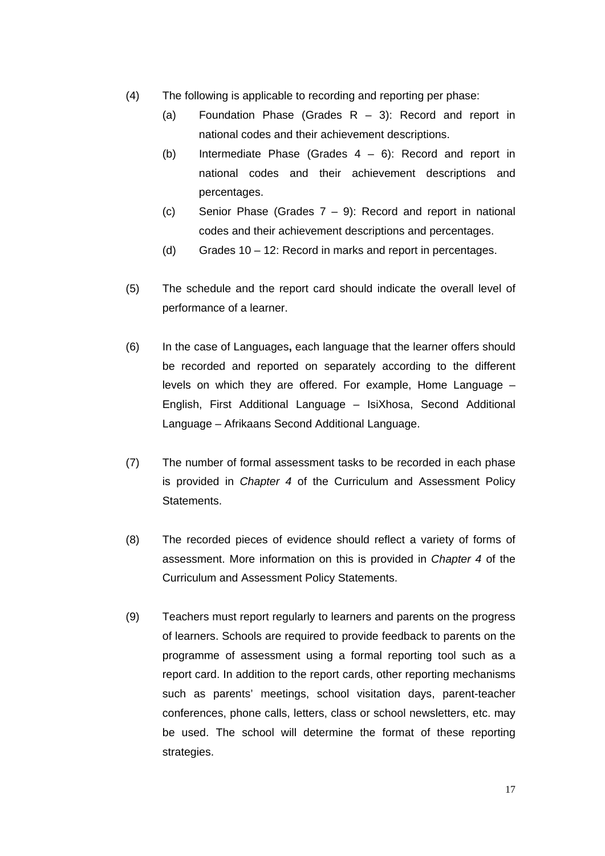- (4) The following is applicable to recording and reporting per phase:
	- (a) Foundation Phase (Grades R 3): Record and report in national codes and their achievement descriptions.
	- (b) Intermediate Phase (Grades  $4 6$ ): Record and report in national codes and their achievement descriptions and percentages.
	- (c) Senior Phase (Grades 7 9): Record and report in national codes and their achievement descriptions and percentages.
	- (d) Grades 10 12: Record in marks and report in percentages.
- (5) The schedule and the report card should indicate the overall level of performance of a learner.
- (6) In the case of Languages**,** each language that the learner offers should be recorded and reported on separately according to the different levels on which they are offered. For example, Home Language – English, First Additional Language – IsiXhosa, Second Additional Language – Afrikaans Second Additional Language.
- (7) The number of formal assessment tasks to be recorded in each phase is provided in *Chapter 4* of the Curriculum and Assessment Policy Statements.
- (8) The recorded pieces of evidence should reflect a variety of forms of assessment. More information on this is provided in *Chapter 4* of the Curriculum and Assessment Policy Statements.
- (9) Teachers must report regularly to learners and parents on the progress of learners. Schools are required to provide feedback to parents on the programme of assessment using a formal reporting tool such as a report card. In addition to the report cards, other reporting mechanisms such as parents' meetings, school visitation days, parent-teacher conferences, phone calls, letters, class or school newsletters, etc. may be used. The school will determine the format of these reporting strategies.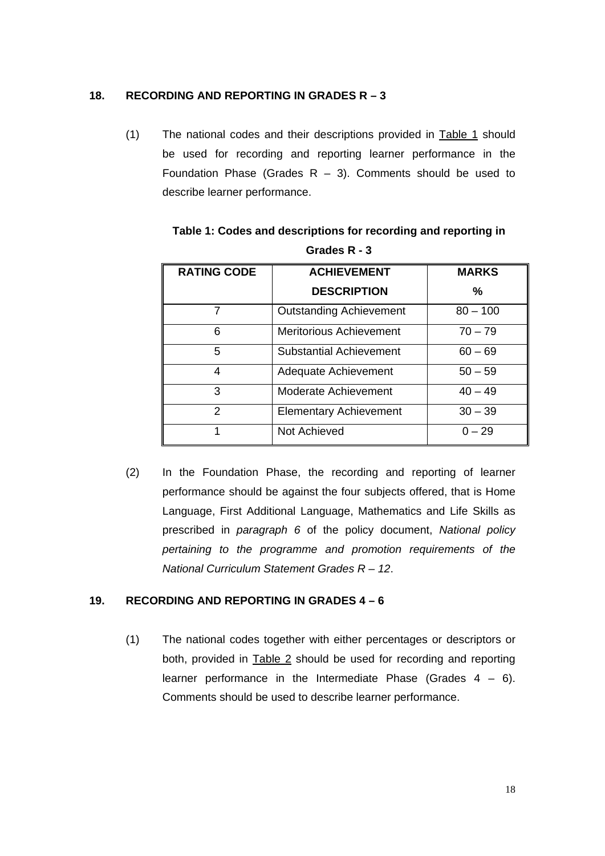#### **18. RECORDING AND REPORTING IN GRADES R – 3**

(1) The national codes and their descriptions provided in Table 1 should be used for recording and reporting learner performance in the Foundation Phase (Grades  $R - 3$ ). Comments should be used to describe learner performance.

| <b>RATING CODE</b> | <b>ACHIEVEMENT</b>             | <b>MARKS</b> |
|--------------------|--------------------------------|--------------|
|                    | <b>DESCRIPTION</b>             | %            |
| 7                  | <b>Outstanding Achievement</b> | $80 - 100$   |
| 6                  | <b>Meritorious Achievement</b> | $70 - 79$    |
| 5                  | <b>Substantial Achievement</b> | $60 - 69$    |
| 4                  | Adequate Achievement           | $50 - 59$    |
| 3                  | <b>Moderate Achievement</b>    | $40 - 49$    |
| $\mathfrak{p}$     | <b>Elementary Achievement</b>  | $30 - 39$    |
|                    | Not Achieved                   | $0 - 29$     |

**Table 1: Codes and descriptions for recording and reporting in Grades R - 3** 

(2) In the Foundation Phase, the recording and reporting of learner performance should be against the four subjects offered, that is Home Language, First Additional Language, Mathematics and Life Skills as prescribed in *paragraph 6* of the policy document, *National policy pertaining to the programme and promotion requirements of the National Curriculum Statement Grades R – 12*.

#### **19. RECORDING AND REPORTING IN GRADES 4 – 6**

(1) The national codes together with either percentages or descriptors or both, provided in Table 2 should be used for recording and reporting learner performance in the Intermediate Phase (Grades  $4 - 6$ ). Comments should be used to describe learner performance.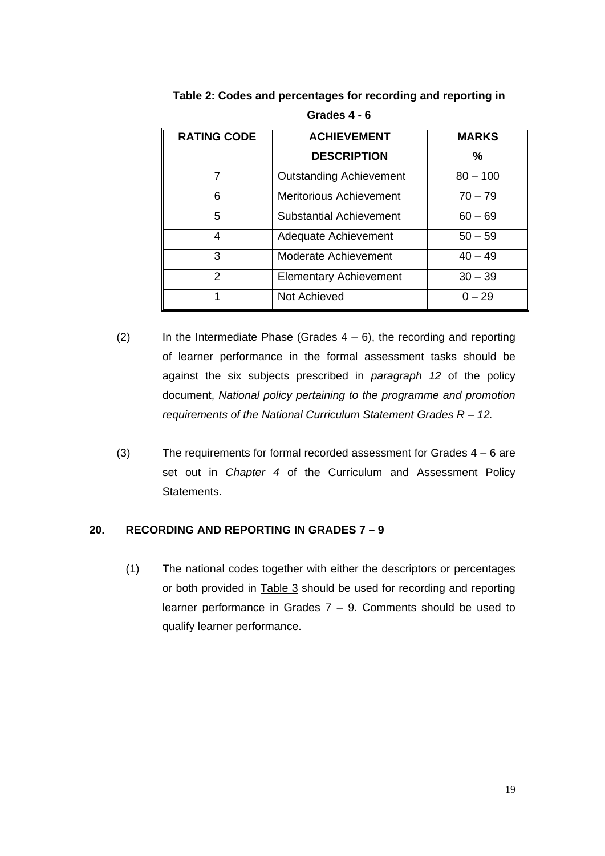| <b>RATING CODE</b> | <b>ACHIEVEMENT</b>             | <b>MARKS</b> |
|--------------------|--------------------------------|--------------|
|                    | <b>DESCRIPTION</b>             | ℅            |
| 7                  | <b>Outstanding Achievement</b> | $80 - 100$   |
| 6                  | <b>Meritorious Achievement</b> | $70 - 79$    |
| 5                  | Substantial Achievement        | $60 - 69$    |
| $\overline{4}$     | Adequate Achievement           | $50 - 59$    |
| 3                  | Moderate Achievement           | $40 - 49$    |
| $\mathcal{P}$      | <b>Elementary Achievement</b>  | $30 - 39$    |
|                    | Not Achieved                   | $0 - 29$     |

**Table 2: Codes and percentages for recording and reporting in Grades 4 - 6** 

- (2) In the Intermediate Phase (Grades  $4 6$ ), the recording and reporting of learner performance in the formal assessment tasks should be against the six subjects prescribed in *paragraph 12* of the policy document, *National policy pertaining to the programme and promotion requirements of the National Curriculum Statement Grades R – 12.*
- (3) The requirements for formal recorded assessment for Grades 4 6 are set out in *Chapter 4* of the Curriculum and Assessment Policy Statements.

### **20. RECORDING AND REPORTING IN GRADES 7 – 9**

(1) The national codes together with either the descriptors or percentages or both provided in Table 3 should be used for recording and reporting learner performance in Grades  $7 - 9$ . Comments should be used to qualify learner performance.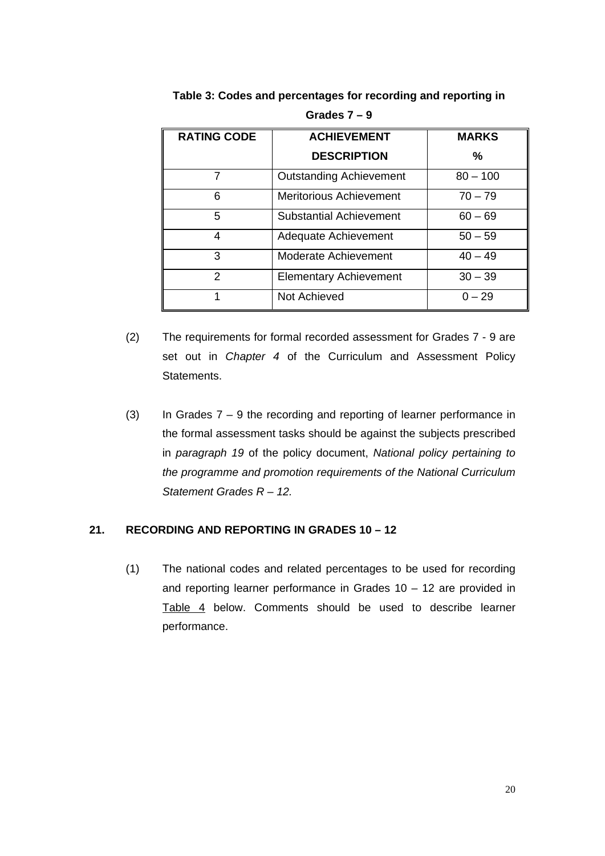| <b>RATING CODE</b> | <b>ACHIEVEMENT</b>             | <b>MARKS</b> |
|--------------------|--------------------------------|--------------|
|                    | <b>DESCRIPTION</b>             | ℅            |
| 7                  | <b>Outstanding Achievement</b> | $80 - 100$   |
| 6                  | <b>Meritorious Achievement</b> | $70 - 79$    |
| 5                  | <b>Substantial Achievement</b> | $60 - 69$    |
| 4                  | Adequate Achievement           | $50 - 59$    |
| 3                  | Moderate Achievement           | $40 - 49$    |
| $\mathcal{P}$      | <b>Elementary Achievement</b>  | $30 - 39$    |
|                    | Not Achieved                   | $0 - 29$     |

**Table 3: Codes and percentages for recording and reporting in Grades 7 – 9** 

- (2) The requirements for formal recorded assessment for Grades 7 9 are set out in *Chapter 4* of the Curriculum and Assessment Policy Statements.
- (3) In Grades  $7 9$  the recording and reporting of learner performance in the formal assessment tasks should be against the subjects prescribed in *paragraph 19* of the policy document, *National policy pertaining to the programme and promotion requirements of the National Curriculum Statement Grades R – 12.*

### **21. RECORDING AND REPORTING IN GRADES 10 – 12**

(1) The national codes and related percentages to be used for recording and reporting learner performance in Grades 10 – 12 are provided in Table 4 below. Comments should be used to describe learner performance.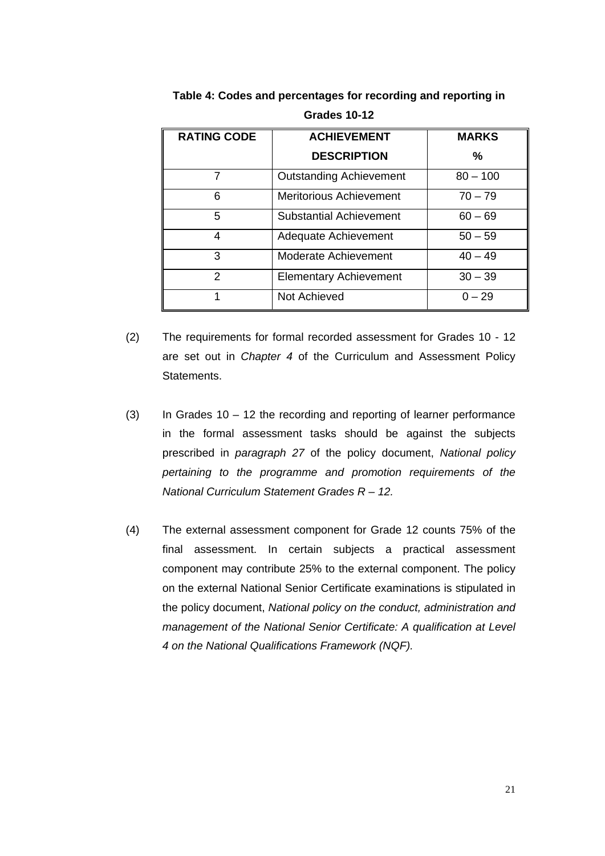| <b>RATING CODE</b> | <b>ACHIEVEMENT</b>             | <b>MARKS</b> |
|--------------------|--------------------------------|--------------|
|                    | <b>DESCRIPTION</b>             | ℅            |
|                    | <b>Outstanding Achievement</b> | $80 - 100$   |
| 6                  | <b>Meritorious Achievement</b> | $70 - 79$    |
| 5                  | Substantial Achievement        | $60 - 69$    |
| 4                  | Adequate Achievement           | $50 - 59$    |
| 3                  | Moderate Achievement           | $40 - 49$    |
| $\mathcal{P}$      | <b>Elementary Achievement</b>  | $30 - 39$    |
|                    | Not Achieved                   | $0 - 29$     |

**Table 4: Codes and percentages for recording and reporting in Grades 10-12** 

- (2) The requirements for formal recorded assessment for Grades 10 12 are set out in *Chapter 4* of the Curriculum and Assessment Policy Statements.
- (3) In Grades  $10 12$  the recording and reporting of learner performance in the formal assessment tasks should be against the subjects prescribed in *paragraph 27* of the policy document, *National policy pertaining to the programme and promotion requirements of the National Curriculum Statement Grades R – 12.*
- (4) The external assessment component for Grade 12 counts 75% of the final assessment. In certain subjects a practical assessment component may contribute 25% to the external component. The policy on the external National Senior Certificate examinations is stipulated in the policy document, *National policy on the conduct, administration and management of the National Senior Certificate: A qualification at Level 4 on the National Qualifications Framework (NQF).*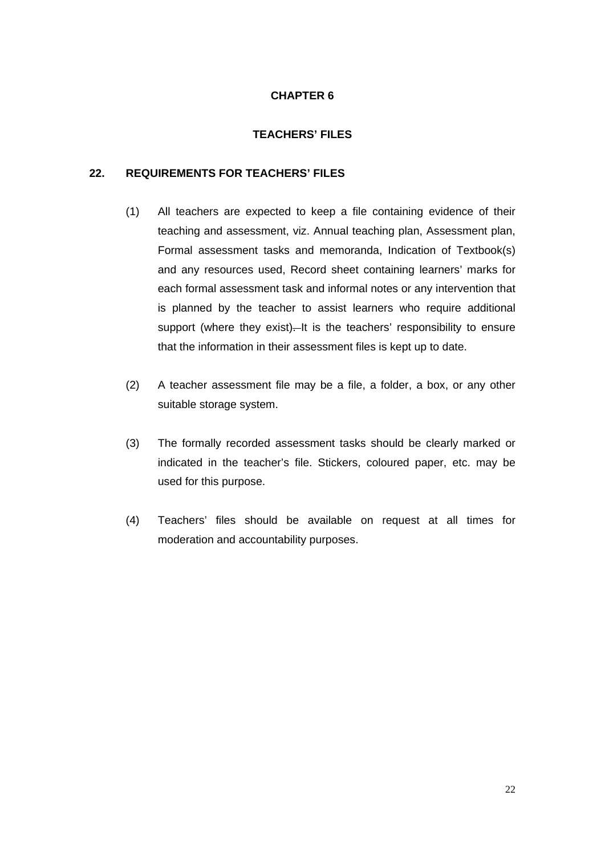#### **TEACHERS' FILES**

### **22. REQUIREMENTS FOR TEACHERS' FILES**

- (1) All teachers are expected to keep a file containing evidence of their teaching and assessment, viz. Annual teaching plan, Assessment plan, Formal assessment tasks and memoranda, Indication of Textbook(s) and any resources used, Record sheet containing learners' marks for each formal assessment task and informal notes or any intervention that is planned by the teacher to assist learners who require additional support (where they exist). It is the teachers' responsibility to ensure that the information in their assessment files is kept up to date.
- (2) A teacher assessment file may be a file, a folder, a box, or any other suitable storage system.
- (3) The formally recorded assessment tasks should be clearly marked or indicated in the teacher's file. Stickers, coloured paper, etc. may be used for this purpose.
- (4) Teachers' files should be available on request at all times for moderation and accountability purposes.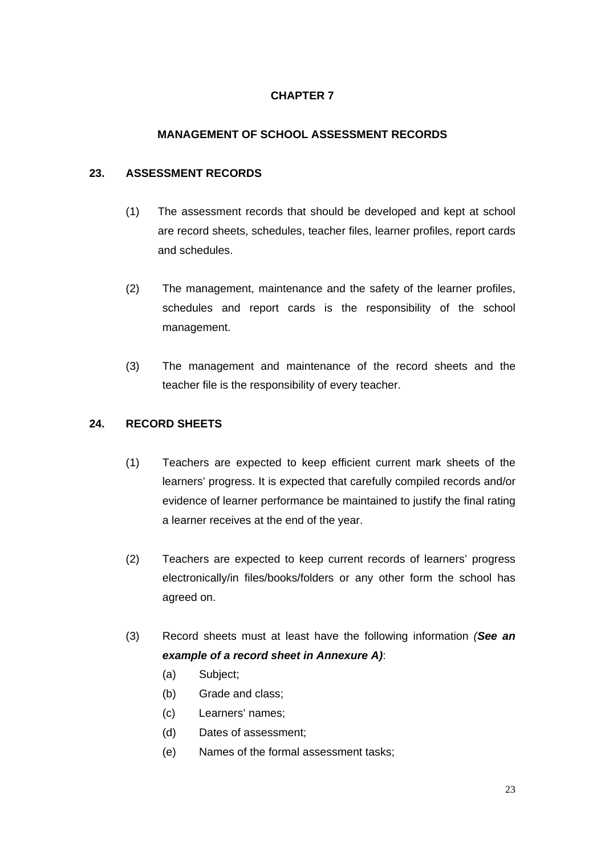### **MANAGEMENT OF SCHOOL ASSESSMENT RECORDS**

#### **23. ASSESSMENT RECORDS**

- (1) The assessment records that should be developed and kept at school are record sheets, schedules, teacher files, learner profiles, report cards and schedules.
- (2) The management, maintenance and the safety of the learner profiles, schedules and report cards is the responsibility of the school management.
- (3) The management and maintenance of the record sheets and the teacher file is the responsibility of every teacher.

### **24. RECORD SHEETS**

- (1) Teachers are expected to keep efficient current mark sheets of the learners' progress. It is expected that carefully compiled records and/or evidence of learner performance be maintained to justify the final rating a learner receives at the end of the year.
- (2) Teachers are expected to keep current records of learners' progress electronically/in files/books/folders or any other form the school has agreed on.
- (3) Record sheets must at least have the following information *(See an example of a record sheet in Annexure A)*:
	- (a) Subject;
	- (b) Grade and class;
	- (c) Learners' names;
	- (d) Dates of assessment;
	- (e) Names of the formal assessment tasks;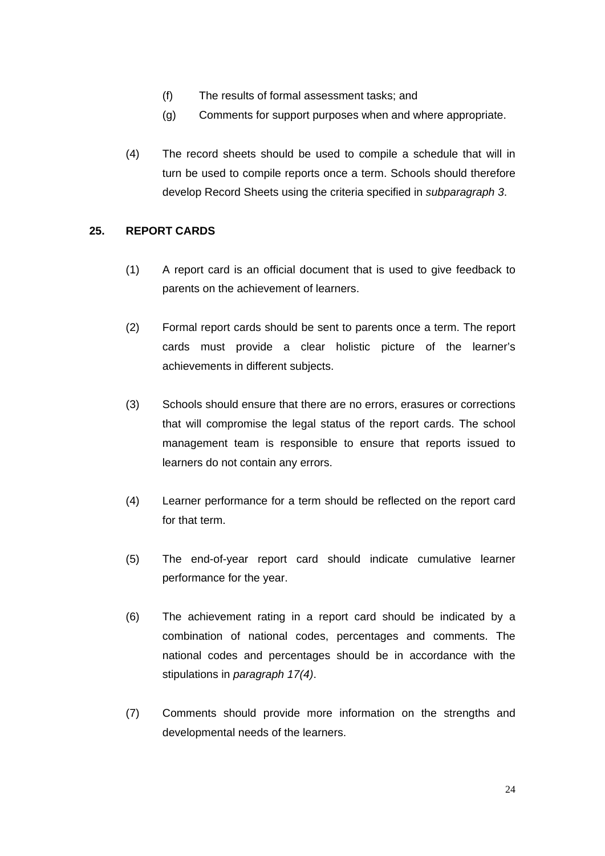- (f) The results of formal assessment tasks; and
- (g) Comments for support purposes when and where appropriate.
- (4) The record sheets should be used to compile a schedule that will in turn be used to compile reports once a term. Schools should therefore develop Record Sheets using the criteria specified in *subparagraph 3*.

### **25. REPORT CARDS**

- (1) A report card is an official document that is used to give feedback to parents on the achievement of learners.
- (2) Formal report cards should be sent to parents once a term. The report cards must provide a clear holistic picture of the learner's achievements in different subjects.
- (3) Schools should ensure that there are no errors, erasures or corrections that will compromise the legal status of the report cards. The school management team is responsible to ensure that reports issued to learners do not contain any errors.
- (4) Learner performance for a term should be reflected on the report card for that term.
- (5) The end-of-year report card should indicate cumulative learner performance for the year.
- (6) The achievement rating in a report card should be indicated by a combination of national codes, percentages and comments. The national codes and percentages should be in accordance with the stipulations in *paragraph 17(4)*.
- (7) Comments should provide more information on the strengths and developmental needs of the learners.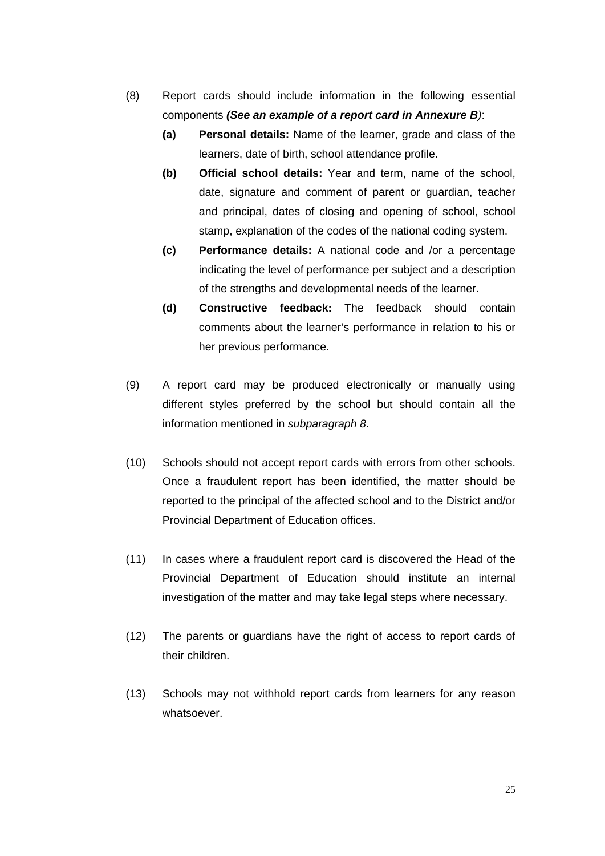- (8) Report cards should include information in the following essential components *(See an example of a report card in Annexure B)*:
	- **(a) Personal details:** Name of the learner, grade and class of the learners, date of birth, school attendance profile.
	- **(b) Official school details:** Year and term, name of the school, date, signature and comment of parent or guardian, teacher and principal, dates of closing and opening of school, school stamp, explanation of the codes of the national coding system.
	- **(c) Performance details:** A national code and /or a percentage indicating the level of performance per subject and a description of the strengths and developmental needs of the learner.
	- **(d) Constructive feedback:** The feedback should contain comments about the learner's performance in relation to his or her previous performance.
- (9) A report card may be produced electronically or manually using different styles preferred by the school but should contain all the information mentioned in *subparagraph 8*.
- (10) Schools should not accept report cards with errors from other schools. Once a fraudulent report has been identified, the matter should be reported to the principal of the affected school and to the District and/or Provincial Department of Education offices.
- (11) In cases where a fraudulent report card is discovered the Head of the Provincial Department of Education should institute an internal investigation of the matter and may take legal steps where necessary.
- (12) The parents or guardians have the right of access to report cards of their children.
- (13) Schools may not withhold report cards from learners for any reason whatsoever.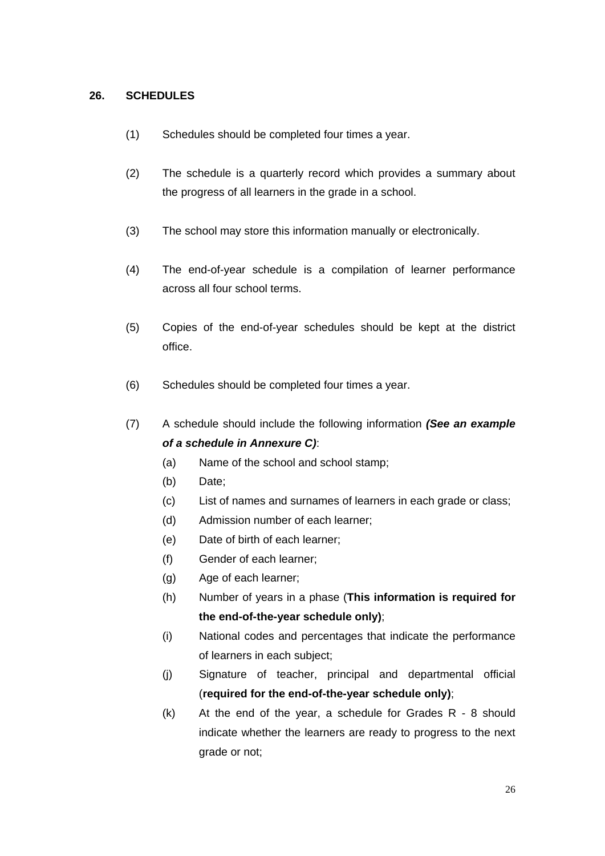### **26. SCHEDULES**

- (1) Schedules should be completed four times a year.
- (2) The schedule is a quarterly record which provides a summary about the progress of all learners in the grade in a school.
- (3) The school may store this information manually or electronically.
- (4) The end-of-year schedule is a compilation of learner performance across all four school terms.
- (5) Copies of the end-of-year schedules should be kept at the district office.
- (6) Schedules should be completed four times a year.
- (7) A schedule should include the following information *(See an example of a schedule in Annexure C)*:
	- (a) Name of the school and school stamp;
	- (b) Date;
	- (c) List of names and surnames of learners in each grade or class;
	- (d) Admission number of each learner;
	- (e) Date of birth of each learner;
	- (f) Gender of each learner;
	- (g) Age of each learner;
	- (h) Number of years in a phase (**This information is required for the end-of-the-year schedule only)**;
	- (i) National codes and percentages that indicate the performance of learners in each subject;
	- (j) Signature of teacher, principal and departmental official (**required for the end-of-the-year schedule only)**;
	- (k) At the end of the year, a schedule for Grades R 8 should indicate whether the learners are ready to progress to the next grade or not;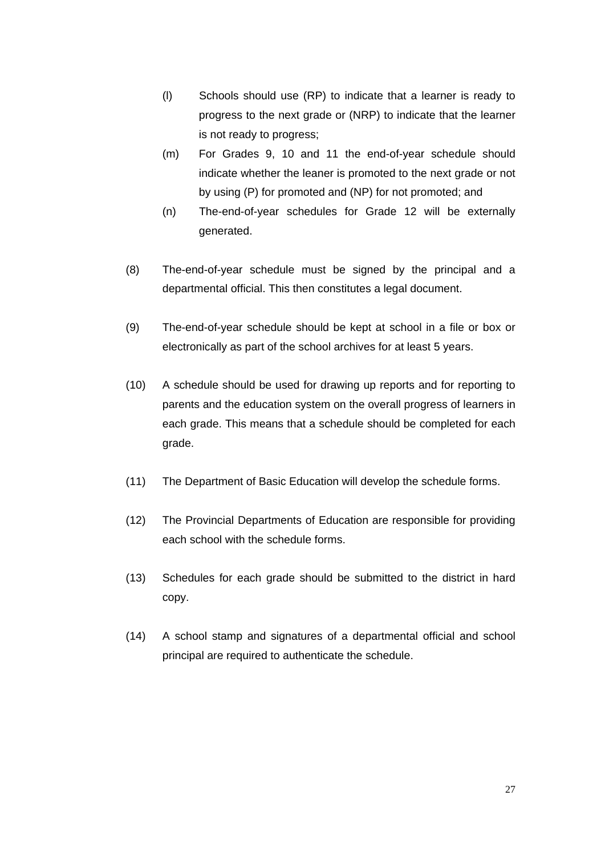- (l) Schools should use (RP) to indicate that a learner is ready to progress to the next grade or (NRP) to indicate that the learner is not ready to progress;
- (m) For Grades 9, 10 and 11 the end-of-year schedule should indicate whether the leaner is promoted to the next grade or not by using (P) for promoted and (NP) for not promoted; and
- (n) The-end-of-year schedules for Grade 12 will be externally generated.
- (8) The-end-of-year schedule must be signed by the principal and a departmental official. This then constitutes a legal document.
- (9) The-end-of-year schedule should be kept at school in a file or box or electronically as part of the school archives for at least 5 years.
- (10) A schedule should be used for drawing up reports and for reporting to parents and the education system on the overall progress of learners in each grade. This means that a schedule should be completed for each grade.
- (11) The Department of Basic Education will develop the schedule forms.
- (12) The Provincial Departments of Education are responsible for providing each school with the schedule forms.
- (13) Schedules for each grade should be submitted to the district in hard copy.
- (14) A school stamp and signatures of a departmental official and school principal are required to authenticate the schedule.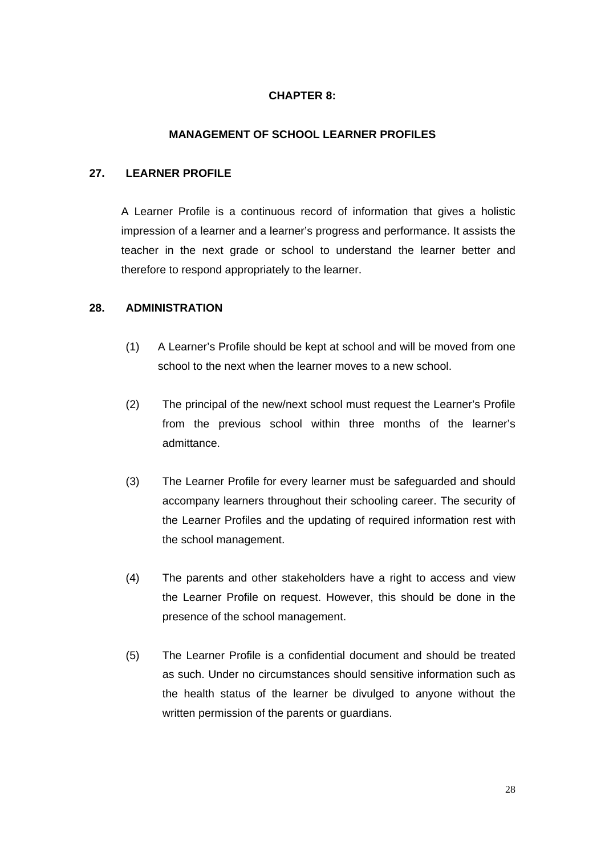### **CHAPTER 8:**

#### **MANAGEMENT OF SCHOOL LEARNER PROFILES**

### **27. LEARNER PROFILE**

A Learner Profile is a continuous record of information that gives a holistic impression of a learner and a learner's progress and performance. It assists the teacher in the next grade or school to understand the learner better and therefore to respond appropriately to the learner.

#### **28. ADMINISTRATION**

- (1) A Learner's Profile should be kept at school and will be moved from one school to the next when the learner moves to a new school.
- (2) The principal of the new/next school must request the Learner's Profile from the previous school within three months of the learner's admittance.
- (3) The Learner Profile for every learner must be safeguarded and should accompany learners throughout their schooling career. The security of the Learner Profiles and the updating of required information rest with the school management.
- (4) The parents and other stakeholders have a right to access and view the Learner Profile on request. However, this should be done in the presence of the school management.
- (5) The Learner Profile is a confidential document and should be treated as such. Under no circumstances should sensitive information such as the health status of the learner be divulged to anyone without the written permission of the parents or guardians.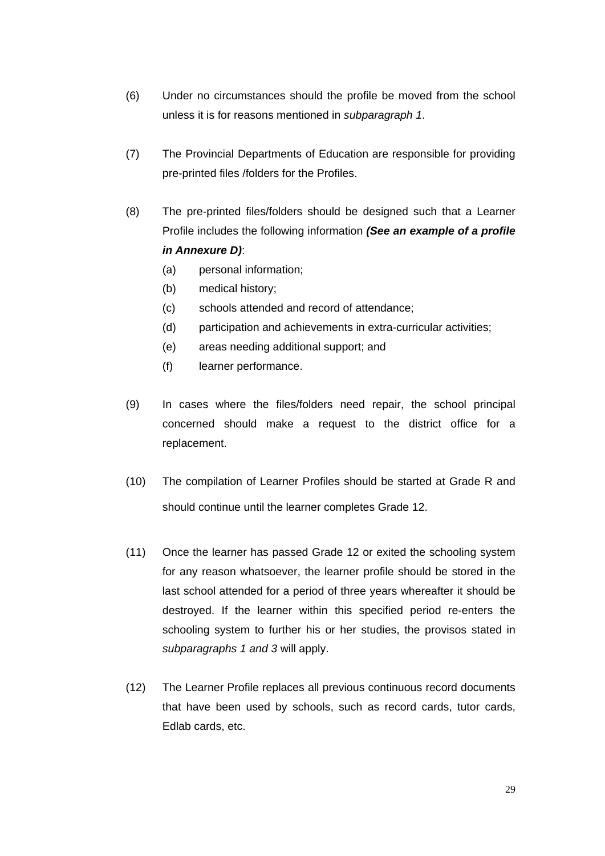- (6) Under no circumstances should the profile be moved from the school unless it is for reasons mentioned in *subparagraph 1*.
- (7) The Provincial Departments of Education are responsible for providing pre-printed files /folders for the Profiles.
- (8) The pre-printed files/folders should be designed such that a Learner Profile includes the following information *(See an example of a profile in Annexure D)*:
	- (a) personal information;
	- (b) medical history;
	- (c) schools attended and record of attendance;
	- (d) participation and achievements in extra-curricular activities;
	- (e) areas needing additional support; and
	- (f) learner performance.
- (9) In cases where the files/folders need repair, the school principal concerned should make a request to the district office for a replacement.
- (10) The compilation of Learner Profiles should be started at Grade R and should continue until the learner completes Grade 12.
- (11) Once the learner has passed Grade 12 or exited the schooling system for any reason whatsoever, the learner profile should be stored in the last school attended for a period of three years whereafter it should be destroyed. If the learner within this specified period re-enters the schooling system to further his or her studies, the provisos stated in *subparagraphs 1 and 3* will apply.
- (12) The Learner Profile replaces all previous continuous record documents that have been used by schools, such as record cards, tutor cards, Edlab cards, etc.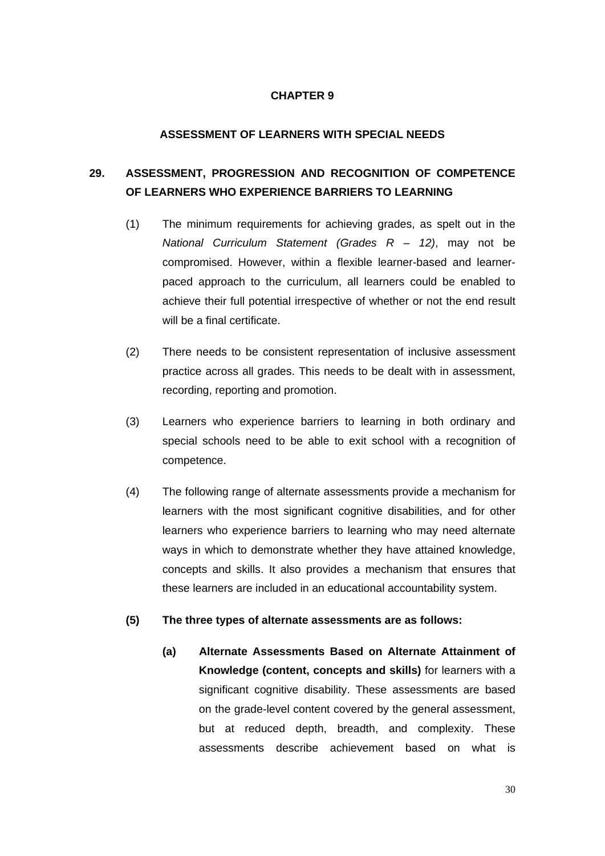#### **ASSESSMENT OF LEARNERS WITH SPECIAL NEEDS**

# **29. ASSESSMENT, PROGRESSION AND RECOGNITION OF COMPETENCE OF LEARNERS WHO EXPERIENCE BARRIERS TO LEARNING**

- (1) The minimum requirements for achieving grades, as spelt out in the *National Curriculum Statement (Grades R – 12)*, may not be compromised. However, within a flexible learner-based and learnerpaced approach to the curriculum, all learners could be enabled to achieve their full potential irrespective of whether or not the end result will be a final certificate.
- (2) There needs to be consistent representation of inclusive assessment practice across all grades. This needs to be dealt with in assessment, recording, reporting and promotion.
- (3) Learners who experience barriers to learning in both ordinary and special schools need to be able to exit school with a recognition of competence.
- (4) The following range of alternate assessments provide a mechanism for learners with the most significant cognitive disabilities, and for other learners who experience barriers to learning who may need alternate ways in which to demonstrate whether they have attained knowledge, concepts and skills. It also provides a mechanism that ensures that these learners are included in an educational accountability system.
- **(5) The three types of alternate assessments are as follows:** 
	- **(a) Alternate Assessments Based on Alternate Attainment of Knowledge (content, concepts and skills)** for learners with a significant cognitive disability. These assessments are based on the grade-level content covered by the general assessment, but at reduced depth, breadth, and complexity. These assessments describe achievement based on what is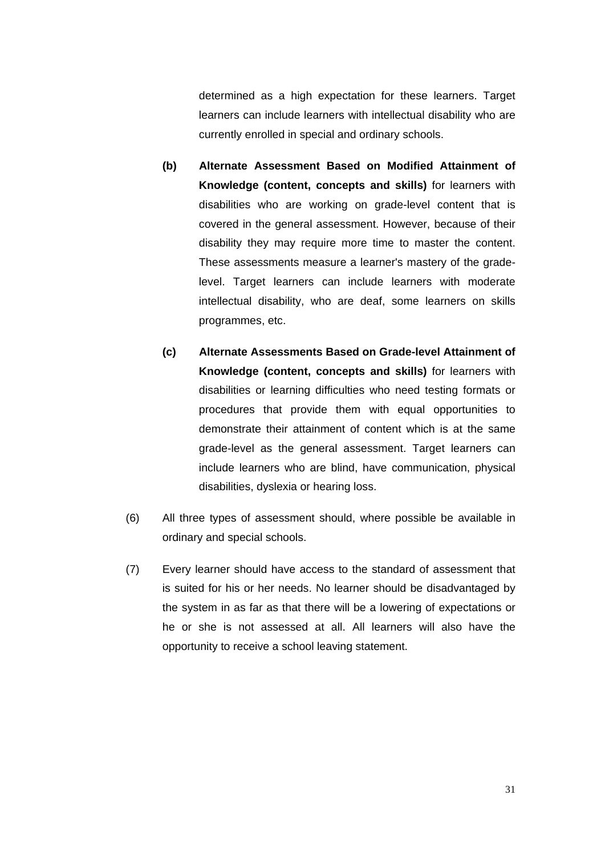determined as a high expectation for these learners. Target learners can include learners with intellectual disability who are currently enrolled in special and ordinary schools.

- **(b) Alternate Assessment Based on Modified Attainment of Knowledge (content, concepts and skills)** for learners with disabilities who are working on grade-level content that is covered in the general assessment. However, because of their disability they may require more time to master the content. These assessments measure a learner's mastery of the gradelevel. Target learners can include learners with moderate intellectual disability, who are deaf, some learners on skills programmes, etc.
- **(c) Alternate Assessments Based on Grade-level Attainment of Knowledge (content, concepts and skills)** for learners with disabilities or learning difficulties who need testing formats or procedures that provide them with equal opportunities to demonstrate their attainment of content which is at the same grade-level as the general assessment. Target learners can include learners who are blind, have communication, physical disabilities, dyslexia or hearing loss.
- (6) All three types of assessment should, where possible be available in ordinary and special schools.
- (7) Every learner should have access to the standard of assessment that is suited for his or her needs. No learner should be disadvantaged by the system in as far as that there will be a lowering of expectations or he or she is not assessed at all. All learners will also have the opportunity to receive a school leaving statement.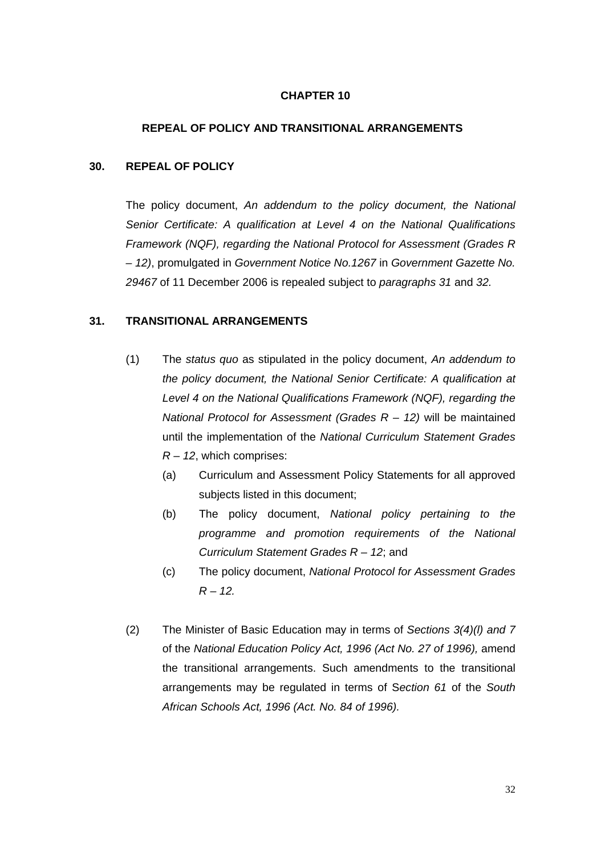#### **REPEAL OF POLICY AND TRANSITIONAL ARRANGEMENTS**

#### **30. REPEAL OF POLICY**

The policy document, *An addendum to the policy document, the National Senior Certificate: A qualification at Level 4 on the National Qualifications Framework (NQF), regarding the National Protocol for Assessment (Grades R – 12)*, promulgated in *Government Notice No.1267* in *Government Gazette No. 29467* of 11 December 2006 is repealed subject to *paragraphs 31* and *32.*

#### **31. TRANSITIONAL ARRANGEMENTS**

- (1) The *status quo* as stipulated in the policy document, *An addendum to the policy document, the National Senior Certificate: A qualification at Level 4 on the National Qualifications Framework (NQF), regarding the National Protocol for Assessment (Grades R – 12)* will be maintained until the implementation of the *National Curriculum Statement Grades R – 12*, which comprises:
	- (a) Curriculum and Assessment Policy Statements for all approved subjects listed in this document;
	- (b) The policy document, *National policy pertaining to the programme and promotion requirements of the National Curriculum Statement Grades R – 12*; and
	- (c) The policy document, *National Protocol for Assessment Grades R – 12.*
- (2) The Minister of Basic Education may in terms of *Sections 3(4)(l) and 7* of the *National Education Policy Act, 1996 (Act No. 27 of 1996),* amend the transitional arrangements. Such amendments to the transitional arrangements may be regulated in terms of S*ection 61* of the *South African Schools Act, 1996 (Act. No. 84 of 1996).*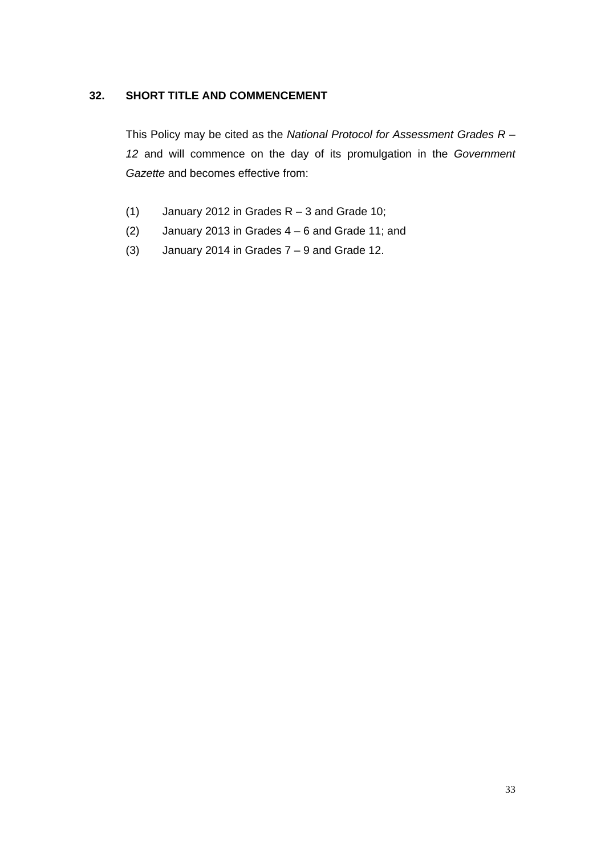### **32. SHORT TITLE AND COMMENCEMENT**

This Policy may be cited as the *National Protocol for Assessment Grades R – 12* and will commence on the day of its promulgation in the *Government Gazette* and becomes effective from:

- (1) January 2012 in Grades  $R 3$  and Grade 10;
- (2) January 2013 in Grades  $4 6$  and Grade 11; and
- (3) January 2014 in Grades  $7 9$  and Grade 12.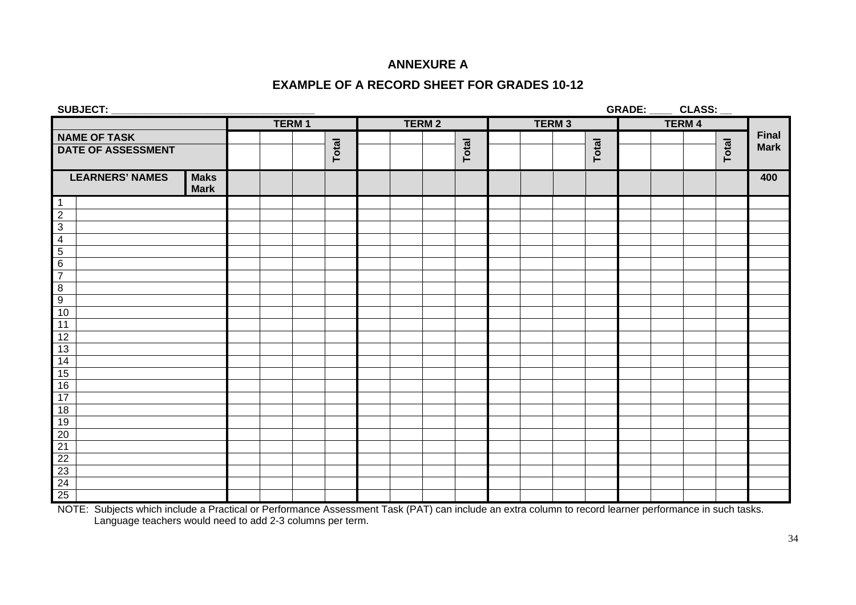### **ANNEXURE A**

### **EXAMPLE OF A RECORD SHEET FOR GRADES 10-12**

| SUBJECT:                  | $\overline{\phantom{a}}$ CLASS: $\overline{\phantom{a}}$<br>GRADE: |  |              |  |       |  |  |              |       |  |              |       |               |       |              |
|---------------------------|--------------------------------------------------------------------|--|--------------|--|-------|--|--|--------------|-------|--|--------------|-------|---------------|-------|--------------|
|                           |                                                                    |  | <b>TERM1</b> |  |       |  |  | <b>TERM2</b> |       |  | <b>TERM3</b> |       | <b>TERM 4</b> |       |              |
| <b>NAME OF TASK</b>       |                                                                    |  |              |  |       |  |  |              |       |  |              |       |               |       | <b>Final</b> |
| <b>DATE OF ASSESSMENT</b> |                                                                    |  |              |  | Total |  |  |              | Total |  |              | Total |               | Total | <b>Mark</b>  |
| <b>LEARNERS' NAMES</b>    | <b>Maks</b><br><b>Mark</b>                                         |  |              |  |       |  |  |              |       |  |              |       |               |       | 400          |
| $\overline{1}$            |                                                                    |  |              |  |       |  |  |              |       |  |              |       |               |       |              |
| $\frac{2}{3}$             |                                                                    |  |              |  |       |  |  |              |       |  |              |       |               |       |              |
|                           |                                                                    |  |              |  |       |  |  |              |       |  |              |       |               |       |              |
| $\frac{4}{5}$             |                                                                    |  |              |  |       |  |  |              |       |  |              |       |               |       |              |
|                           |                                                                    |  |              |  |       |  |  |              |       |  |              |       |               |       |              |
| $\frac{6}{7}$             |                                                                    |  |              |  |       |  |  |              |       |  |              |       |               |       |              |
| $\overline{8}$            |                                                                    |  |              |  |       |  |  |              |       |  |              |       |               |       |              |
| $\overline{9}$            |                                                                    |  |              |  |       |  |  |              |       |  |              |       |               |       |              |
| 10                        |                                                                    |  |              |  |       |  |  |              |       |  |              |       |               |       |              |
| 11                        |                                                                    |  |              |  |       |  |  |              |       |  |              |       |               |       |              |
| 12                        |                                                                    |  |              |  |       |  |  |              |       |  |              |       |               |       |              |
| 13                        |                                                                    |  |              |  |       |  |  |              |       |  |              |       |               |       |              |
|                           |                                                                    |  |              |  |       |  |  |              |       |  |              |       |               |       |              |
| $\frac{14}{15}$           |                                                                    |  |              |  |       |  |  |              |       |  |              |       |               |       |              |
| 16                        |                                                                    |  |              |  |       |  |  |              |       |  |              |       |               |       |              |
| 17                        |                                                                    |  |              |  |       |  |  |              |       |  |              |       |               |       |              |
| 18                        |                                                                    |  |              |  |       |  |  |              |       |  |              |       |               |       |              |
| 19                        |                                                                    |  |              |  |       |  |  |              |       |  |              |       |               |       |              |
| $\frac{20}{21}$           |                                                                    |  |              |  |       |  |  |              |       |  |              |       |               |       |              |
|                           |                                                                    |  |              |  |       |  |  |              |       |  |              |       |               |       |              |
| 22                        |                                                                    |  |              |  |       |  |  |              |       |  |              |       |               |       |              |
| 23                        |                                                                    |  |              |  |       |  |  |              |       |  |              |       |               |       |              |
| $\frac{24}{25}$           |                                                                    |  |              |  |       |  |  |              |       |  |              |       |               |       |              |
|                           |                                                                    |  |              |  |       |  |  |              |       |  |              |       |               |       |              |

NOTE: Subjects which include a Practical or Performance Assessment Task (PAT) can include an extra column to record learner performance in such tasks. Language teachers would need to add 2-3 columns per term.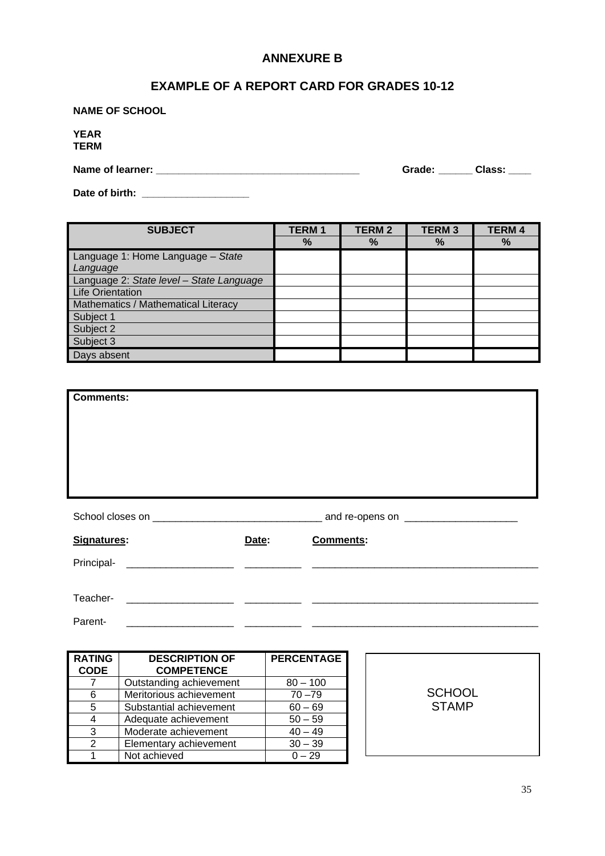### **ANNEXURE B**

### **EXAMPLE OF A REPORT CARD FOR GRADES 10-12**

**NAME OF SCHOOL** 

**YEAR TERM** 

**Name of learner: \_\_\_\_\_\_\_\_\_\_\_\_\_\_\_\_\_\_\_\_\_\_\_\_\_\_\_\_\_\_\_\_\_\_\_\_ Grade: \_\_\_\_\_\_ Class: \_\_\_\_** 

**Date of birth: \_\_\_\_\_\_\_\_\_\_\_\_\_\_\_\_\_\_\_** 

| <b>SUBJECT</b>                           | <b>TERM1</b> | <b>TERM2</b> | <b>TERM3</b> | <b>TERM4</b> |
|------------------------------------------|--------------|--------------|--------------|--------------|
|                                          | %            | $\%$         | $\%$         | $\%$         |
| Language 1: Home Language - State        |              |              |              |              |
| Language                                 |              |              |              |              |
| Language 2: State level - State Language |              |              |              |              |
| <b>Life Orientation</b>                  |              |              |              |              |
| Mathematics / Mathematical Literacy      |              |              |              |              |
| Subject 1                                |              |              |              |              |
| Subject 2                                |              |              |              |              |
| Subject 3                                |              |              |              |              |
| Days absent                              |              |              |              |              |

| <b>Comments:</b> |       |                  |
|------------------|-------|------------------|
|                  |       |                  |
|                  |       |                  |
|                  |       |                  |
|                  |       |                  |
|                  |       |                  |
|                  |       |                  |
| Signatures:      | Date: | <b>Comments:</b> |
|                  |       |                  |
|                  |       |                  |
|                  |       |                  |
| Parent-          |       |                  |

| <b>RATING</b> | <b>DESCRIPTION OF</b>   | <b>PERCENTAGE</b> |
|---------------|-------------------------|-------------------|
| <b>CODE</b>   | <b>COMPETENCE</b>       |                   |
|               | Outstanding achievement | $80 - 100$        |
|               | Meritorious achievement | $70 - 79$         |
| 5             | Substantial achievement | $60 - 69$         |
|               | Adequate achievement    | $50 - 59$         |
| 3             | Moderate achievement    | $40 - 49$         |
|               | Elementary achievement  | $30 - 39$         |
|               | Not achieved            | $0 - 29$          |

**SCHOOL** STAMP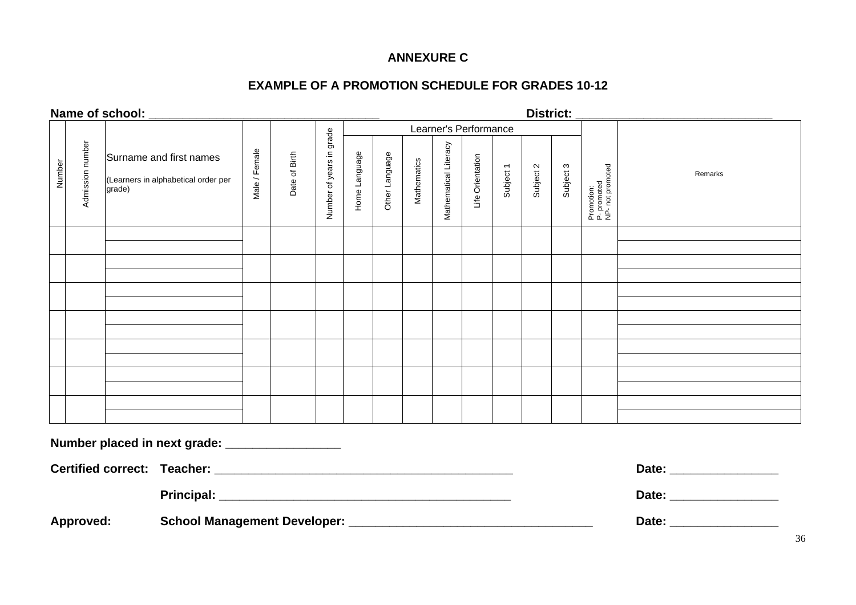### **ANNEXURE C**

### **EXAMPLE OF A PROMOTION SCHEDULE FOR GRADES 10-12**

### **Name of school: \_\_\_\_\_\_\_\_\_\_\_\_\_\_\_\_\_\_\_\_\_\_\_\_\_\_\_\_\_\_\_\_\_\_ District: \_\_\_\_\_\_\_\_\_\_\_\_\_\_\_\_\_\_\_\_\_\_\_\_\_\_\_\_\_**

|        |                  |                                                                          |               |               |                          | Learner's Performance |                |                    |                       |                  |           |           |           |                                               |         |
|--------|------------------|--------------------------------------------------------------------------|---------------|---------------|--------------------------|-----------------------|----------------|--------------------|-----------------------|------------------|-----------|-----------|-----------|-----------------------------------------------|---------|
| Number | Admission number | Surname and first names<br>(Learners in alphabetical order per<br>grade) | Male / Female | Date of Birth | Number of years in grade | Home Language         | Other Language | <b>Mathematics</b> | Mathematical Literacy | Life Orientation | Subject 1 | Subject 2 | Subject 3 | Promotion:<br>P- promoted<br>NP- not promoted | Remarks |
|        |                  |                                                                          |               |               |                          |                       |                |                    |                       |                  |           |           |           |                                               |         |
|        |                  |                                                                          |               |               |                          |                       |                |                    |                       |                  |           |           |           |                                               |         |
|        |                  |                                                                          |               |               |                          |                       |                |                    |                       |                  |           |           |           |                                               |         |
|        |                  |                                                                          |               |               |                          |                       |                |                    |                       |                  |           |           |           |                                               |         |
|        |                  |                                                                          |               |               |                          |                       |                |                    |                       |                  |           |           |           |                                               |         |
|        |                  |                                                                          |               |               |                          |                       |                |                    |                       |                  |           |           |           |                                               |         |
|        |                  |                                                                          |               |               |                          |                       |                |                    |                       |                  |           |           |           |                                               |         |
|        |                  |                                                                          |               |               |                          |                       |                |                    |                       |                  |           |           |           |                                               |         |
|        |                  |                                                                          |               |               |                          |                       |                |                    |                       |                  |           |           |           |                                               |         |
|        |                  |                                                                          |               |               |                          |                       |                |                    |                       |                  |           |           |           |                                               |         |
|        |                  |                                                                          |               |               |                          |                       |                |                    |                       |                  |           |           |           |                                               |         |
|        |                  |                                                                          |               |               |                          |                       |                |                    |                       |                  |           |           |           |                                               |         |
|        |                  | Number placed in next grade: _________________                           |               |               |                          |                       |                |                    |                       |                  |           |           |           |                                               |         |
|        |                  |                                                                          |               |               |                          |                       |                |                    |                       |                  |           |           |           |                                               |         |
|        |                  | <b>Principal:</b>                                                        |               |               |                          |                       |                |                    |                       |                  |           |           |           |                                               | Date:   |

**Approved: School Management Developer: \_\_\_\_\_\_\_\_\_\_\_\_\_\_\_\_\_\_\_\_\_\_\_\_\_\_\_\_\_\_\_\_\_\_\_\_ Date: \_\_\_\_\_\_\_\_\_\_\_\_\_\_\_\_**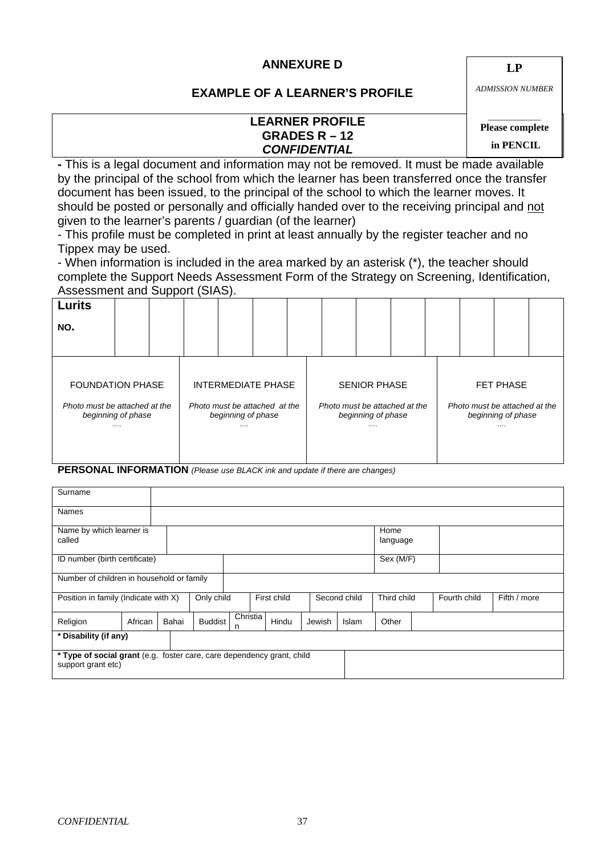### **ANNEXURE D**

**LP**

### **EXAMPLE OF A LEARNER'S PROFILE**

**LEARNER PROFILE GRADES R – 12**  *CONFIDENTIAL*

*ADMISSION NUMBER* 

### *\_\_\_\_\_\_\_\_\_\_\_\_\_*  **Please complete**

 **in PENCIL** 

**-** This is a legal document and information may not be removed. It must be made available by the principal of the school from which the learner has been transferred once the transfer document has been issued, to the principal of the school to which the learner moves. It should be posted or personally and officially handed over to the receiving principal and not given to the learner's parents / guardian (of the learner)

- This profile must be completed in print at least annually by the register teacher and no Tippex may be used.

- When information is included in the area marked by an asterisk (\*), the teacher should complete the Support Needs Assessment Form of the Strategy on Screening, Identification, Assessment and Support (SIAS).

| <b>Lurits</b>                                       |  |   |                                                     |  |   |                                                     |  |  |   |                                                     |  |  |
|-----------------------------------------------------|--|---|-----------------------------------------------------|--|---|-----------------------------------------------------|--|--|---|-----------------------------------------------------|--|--|
| NO.                                                 |  |   |                                                     |  |   |                                                     |  |  |   |                                                     |  |  |
|                                                     |  |   |                                                     |  |   |                                                     |  |  |   |                                                     |  |  |
|                                                     |  |   |                                                     |  |   |                                                     |  |  |   |                                                     |  |  |
| <b>FOUNDATION PHASE</b>                             |  |   | INTERMEDIATE PHASE                                  |  |   | <b>SENIOR PHASE</b>                                 |  |  |   | <b>FET PHASE</b>                                    |  |  |
| Photo must be attached at the<br>beginning of phase |  |   | Photo must be attached at the<br>beginning of phase |  |   | Photo must be attached at the<br>beginning of phase |  |  |   | Photo must be attached at the<br>beginning of phase |  |  |
| .                                                   |  | . |                                                     |  | . |                                                     |  |  | . |                                                     |  |  |
|                                                     |  |   |                                                     |  |   |                                                     |  |  |   |                                                     |  |  |

**PERSONAL INFORMATION** *(Please use BLACK ink and update if there are changes)*

| Surname                                                                                      |                       |       |                |               |       |        |              |                  |              |              |
|----------------------------------------------------------------------------------------------|-----------------------|-------|----------------|---------------|-------|--------|--------------|------------------|--------------|--------------|
| <b>Names</b>                                                                                 |                       |       |                |               |       |        |              |                  |              |              |
| Name by which learner is<br>called                                                           |                       |       |                |               |       |        |              | Home<br>language |              |              |
| ID number (birth certificate)                                                                |                       |       |                |               |       |        |              | Sex (M/F)        |              |              |
| Number of children in household or family                                                    |                       |       |                |               |       |        |              |                  |              |              |
| Position in family (Indicate with X)                                                         |                       |       | Only child     | First child   |       |        | Second child | Third child      | Fourth child | Fifth / more |
| Religion                                                                                     | African               | Bahai | <b>Buddist</b> | Christia<br>n | Hindu | Jewish | Islam        | Other            |              |              |
|                                                                                              | * Disability (if any) |       |                |               |       |        |              |                  |              |              |
| * Type of social grant (e.g. foster care, care dependency grant, child<br>support grant etc) |                       |       |                |               |       |        |              |                  |              |              |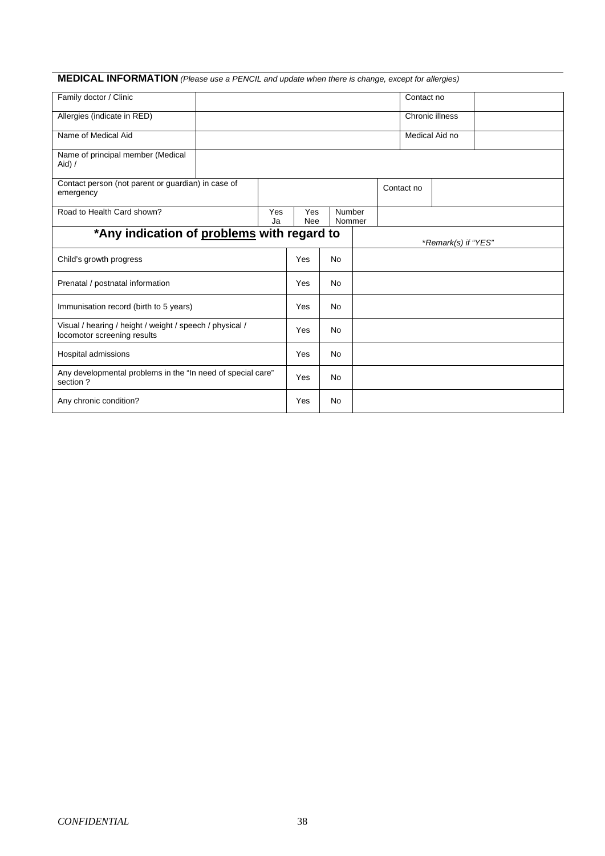### **MEDICAL INFORMATION** *(Please use a PENCIL and update when there is change, except for allergies)*

| Family doctor / Clinic                                                                  |  |  |                   |           |                  | Contact no |                     |  |
|-----------------------------------------------------------------------------------------|--|--|-------------------|-----------|------------------|------------|---------------------|--|
| Allergies (indicate in RED)                                                             |  |  |                   |           |                  |            | Chronic illness     |  |
| Name of Medical Aid                                                                     |  |  |                   |           |                  |            | Medical Aid no      |  |
| Name of principal member (Medical<br>Aid) /                                             |  |  |                   |           |                  |            |                     |  |
| Contact person (not parent or guardian) in case of<br>emergency                         |  |  |                   |           |                  | Contact no |                     |  |
| Road to Health Card shown?<br>Yes<br>Ja                                                 |  |  | Yes<br><b>Nee</b> |           | Number<br>Nommer |            |                     |  |
| *Any indication of problems with regard to                                              |  |  |                   |           |                  |            | *Remark(s) if "YES" |  |
| Child's growth progress                                                                 |  |  | Yes               | <b>No</b> |                  |            |                     |  |
| Prenatal / postnatal information                                                        |  |  | Yes               | <b>No</b> |                  |            |                     |  |
| Immunisation record (birth to 5 years)                                                  |  |  | Yes               | <b>No</b> |                  |            |                     |  |
| Visual / hearing / height / weight / speech / physical /<br>locomotor screening results |  |  | Yes               | <b>No</b> |                  |            |                     |  |
| Hospital admissions                                                                     |  |  | Yes               | No.       |                  |            |                     |  |
| Any developmental problems in the "In need of special care"<br>section?                 |  |  | Yes               | <b>No</b> |                  |            |                     |  |
| Any chronic condition?                                                                  |  |  | Yes               | <b>No</b> |                  |            |                     |  |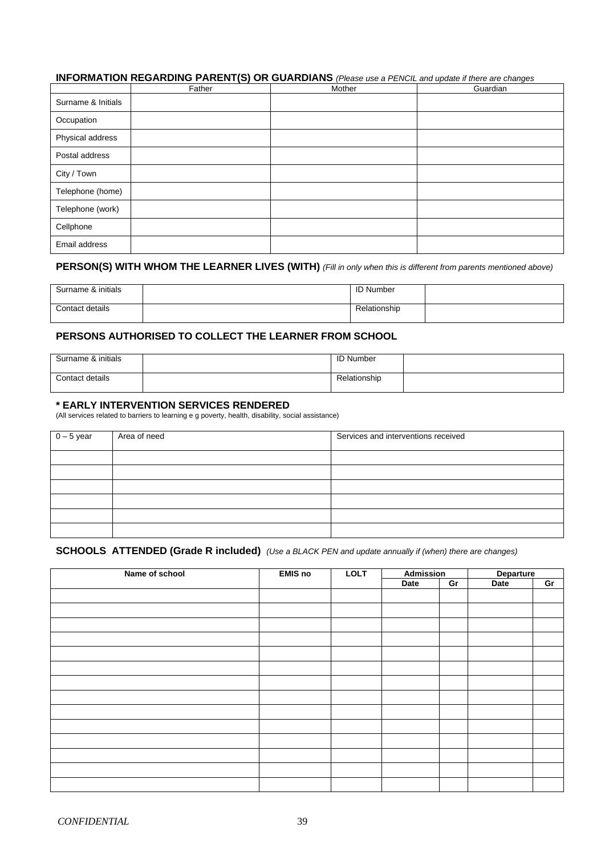#### **INFORMATION REGARDING PARENT(S) OR GUARDIANS** *(Please use a PENCIL and update if there are changes*

|                    | Father | Mother | Guardian |
|--------------------|--------|--------|----------|
| Surname & Initials |        |        |          |
| Occupation         |        |        |          |
| Physical address   |        |        |          |
| Postal address     |        |        |          |
| City / Town        |        |        |          |
| Telephone (home)   |        |        |          |
| Telephone (work)   |        |        |          |
| Cellphone          |        |        |          |
| Email address      |        |        |          |

#### **PERSON(S) WITH WHOM THE LEARNER LIVES (WITH)** *(Fill in only when this is different from parents mentioned above)*

| Surname & initials | <b>ID Number</b> |  |
|--------------------|------------------|--|
| Contact details    | Relationship     |  |

#### **PERSONS AUTHORISED TO COLLECT THE LEARNER FROM SCHOOL**

| Surname & initials | <b>ID Number</b> |  |
|--------------------|------------------|--|
| Contact details    | Relationship     |  |

#### **\* EARLY INTERVENTION SERVICES RENDERED**

(All services related to barriers to learning e g poverty, health, disability, social assistance)

| $0 - 5$ year | Area of need | Services and interventions received |
|--------------|--------------|-------------------------------------|
|              |              |                                     |
|              |              |                                     |
|              |              |                                     |
|              |              |                                     |
|              |              |                                     |
|              |              |                                     |

#### **SCHOOLS ATTENDED (Grade R included)** *(Use a BLACK PEN and update annually if (when) there are changes)*

| Name of school | <b>EMIS</b> no | <b>LOLT</b> | <b>Admission</b> |    | <b>Departure</b> |    |  |
|----------------|----------------|-------------|------------------|----|------------------|----|--|
|                |                |             | Date             | Gr | Date             | Gr |  |
|                |                |             |                  |    |                  |    |  |
|                |                |             |                  |    |                  |    |  |
|                |                |             |                  |    |                  |    |  |
|                |                |             |                  |    |                  |    |  |
|                |                |             |                  |    |                  |    |  |
|                |                |             |                  |    |                  |    |  |
|                |                |             |                  |    |                  |    |  |
|                |                |             |                  |    |                  |    |  |
|                |                |             |                  |    |                  |    |  |
|                |                |             |                  |    |                  |    |  |
|                |                |             |                  |    |                  |    |  |
|                |                |             |                  |    |                  |    |  |
|                |                |             |                  |    |                  |    |  |
|                |                |             |                  |    |                  |    |  |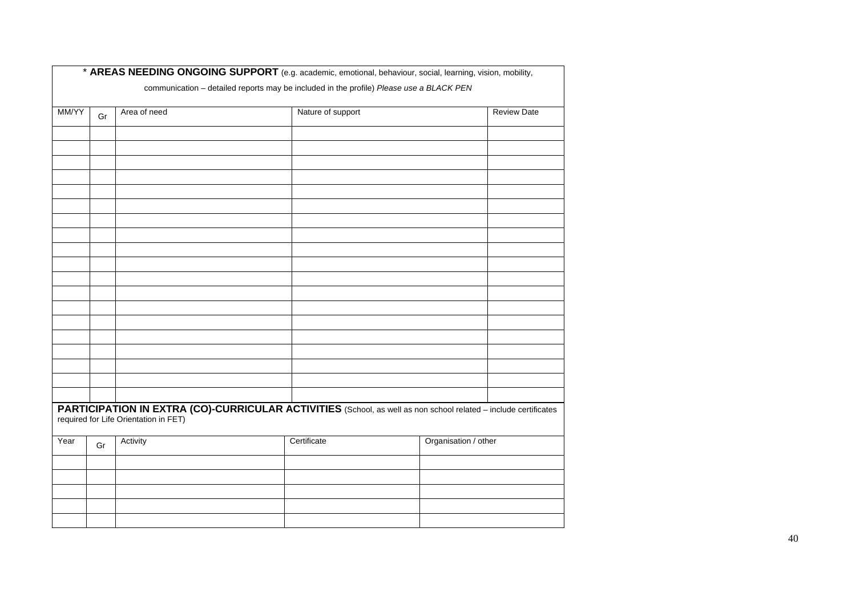|       |    |                                       | communication - detailed reports may be included in the profile) Please use a BLACK PEN                         |                      |                    |
|-------|----|---------------------------------------|-----------------------------------------------------------------------------------------------------------------|----------------------|--------------------|
| MM/YY | Gr | Area of need                          | Nature of support                                                                                               |                      | <b>Review Date</b> |
|       |    |                                       |                                                                                                                 |                      |                    |
|       |    |                                       |                                                                                                                 |                      |                    |
|       |    |                                       |                                                                                                                 |                      |                    |
|       |    |                                       |                                                                                                                 |                      |                    |
|       |    |                                       |                                                                                                                 |                      |                    |
|       |    |                                       |                                                                                                                 |                      |                    |
|       |    |                                       |                                                                                                                 |                      |                    |
|       |    |                                       |                                                                                                                 |                      |                    |
|       |    |                                       |                                                                                                                 |                      |                    |
|       |    |                                       |                                                                                                                 |                      |                    |
|       |    |                                       |                                                                                                                 |                      |                    |
|       |    |                                       |                                                                                                                 |                      |                    |
|       |    |                                       |                                                                                                                 |                      |                    |
|       |    |                                       |                                                                                                                 |                      |                    |
|       |    |                                       |                                                                                                                 |                      |                    |
|       |    |                                       |                                                                                                                 |                      |                    |
|       |    |                                       |                                                                                                                 |                      |                    |
|       |    |                                       |                                                                                                                 |                      |                    |
|       |    | required for Life Orientation in FET) | PARTICIPATION IN EXTRA (CO)-CURRICULAR ACTIVITIES (School, as well as non school related - include certificates |                      |                    |
| Year  | Gr | Activity                              | Certificate                                                                                                     | Organisation / other |                    |
|       |    |                                       |                                                                                                                 |                      |                    |
|       |    |                                       |                                                                                                                 |                      |                    |
|       |    |                                       |                                                                                                                 |                      |                    |
|       |    |                                       |                                                                                                                 |                      |                    |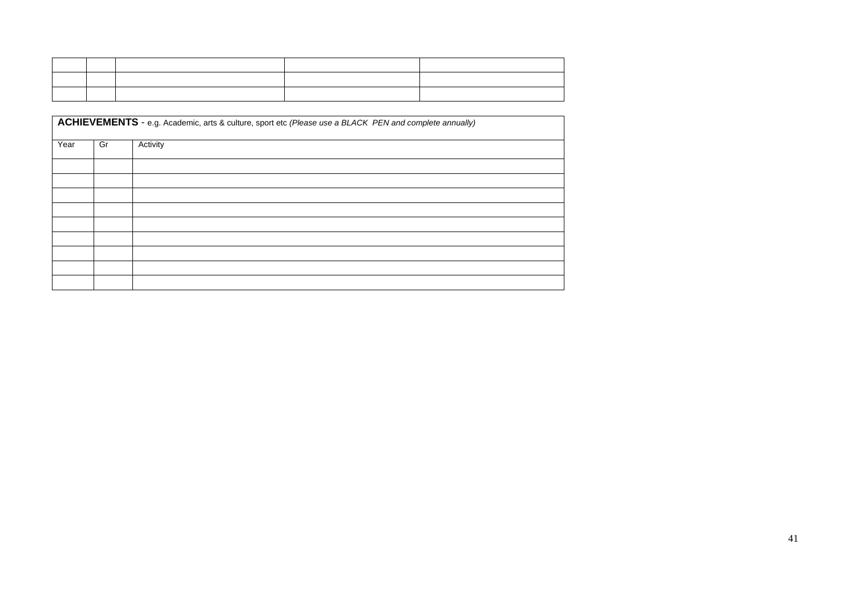|      | ACHIEVEMENTS - e.g. Academic, arts & culture, sport etc (Please use a BLACK PEN and complete annually) |          |  |  |  |  |  |  |  |
|------|--------------------------------------------------------------------------------------------------------|----------|--|--|--|--|--|--|--|
| Year | Gr                                                                                                     | Activity |  |  |  |  |  |  |  |
|      |                                                                                                        |          |  |  |  |  |  |  |  |
|      |                                                                                                        |          |  |  |  |  |  |  |  |
|      |                                                                                                        |          |  |  |  |  |  |  |  |
|      |                                                                                                        |          |  |  |  |  |  |  |  |
|      |                                                                                                        |          |  |  |  |  |  |  |  |
|      |                                                                                                        |          |  |  |  |  |  |  |  |
|      |                                                                                                        |          |  |  |  |  |  |  |  |
|      |                                                                                                        |          |  |  |  |  |  |  |  |
|      |                                                                                                        |          |  |  |  |  |  |  |  |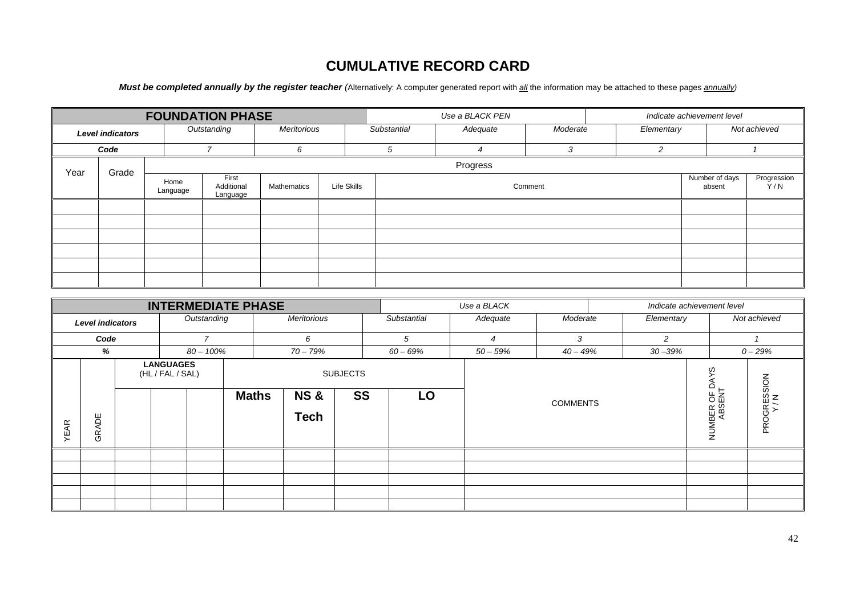# **CUMULATIVE RECORD CARD**

*Must be completed annually by the register teacher (Alternatively: A computer generated report with <i>all* the information may be attached to these pages *annually*)

|                         |       |          |                  | <b>FOUNDATION PHASE</b>         |             |             |  |                          | Use a BLACK PEN |               |            |                          | Indicate achievement level |  |  |
|-------------------------|-------|----------|------------------|---------------------------------|-------------|-------------|--|--------------------------|-----------------|---------------|------------|--------------------------|----------------------------|--|--|
| <b>Level indicators</b> |       |          |                  | Outstanding                     | Meritorious | Substantial |  | Adequate                 | Moderate        |               | Elementary |                          | Not achieved               |  |  |
| Code                    |       |          |                  | ⇁                               | 6           | 5           |  | $\overline{\mathcal{A}}$ | 3               | $\mathcal{P}$ |            |                          |                            |  |  |
| Year                    | Grade | Progress |                  |                                 |             |             |  |                          |                 |               |            |                          |                            |  |  |
|                         |       |          | Home<br>Language | First<br>Additional<br>Language | Mathematics | Life Skills |  |                          | Comment         |               |            | Number of days<br>absent | Progression<br>Y/N         |  |  |
|                         |       |          |                  |                                 |             |             |  |                          |                 |               |            |                          |                            |  |  |
|                         |       |          |                  |                                 |             |             |  |                          |                 |               |            |                          |                            |  |  |
|                         |       |          |                  |                                 |             |             |  |                          |                 |               |            |                          |                            |  |  |
|                         |       |          |                  |                                 |             |             |  |                          |                 |               |            |                          |                            |  |  |
|                         |       |          |                  |                                 |             |             |  |                          |                 |               |            |                          |                            |  |  |
|                         |       |          |                  |                                 |             |             |  |                          |                 |               |            |                          |                            |  |  |

|                         |       |  |                                      |              | <b>INTERMEDIATE PHASE</b> |                               |                 |             | Use a BLACK |                 |                       |                    | Indicate achievement level |              |  |
|-------------------------|-------|--|--------------------------------------|--------------|---------------------------|-------------------------------|-----------------|-------------|-------------|-----------------|-----------------------|--------------------|----------------------------|--------------|--|
| <b>Level indicators</b> |       |  |                                      | Outstanding  |                           | Meritorious                   |                 | Substantial | Adequate    | Moderate        |                       | Elementary         |                            | Not achieved |  |
| Code                    |       |  |                                      | 7            |                           | 6                             |                 | 5           | 4           | 3               |                       | 2                  |                            |              |  |
| %                       |       |  |                                      | $80 - 100\%$ |                           | $70 - 79%$                    |                 | $60 - 69%$  | $50 - 59%$  | $40 - 49%$      |                       | $30 - 39%$         |                            | $0 - 29%$    |  |
|                         |       |  | <b>LANGUAGES</b><br>(HL / FAL / SAL) |              |                           |                               | <b>SUBJECTS</b> |             |             |                 |                       |                    | w<br>≏                     |              |  |
| YEAR                    | GRADE |  |                                      |              | <b>Maths</b>              | <b>NS&amp;</b><br><b>Tech</b> | <b>SS</b>       | LO          |             | <b>COMMENTS</b> | NUMBER OF I<br>ABSENT | PROGRESSION<br>Y/N |                            |              |  |
|                         |       |  |                                      |              |                           |                               |                 |             |             |                 |                       |                    |                            |              |  |
|                         |       |  |                                      |              |                           |                               |                 |             |             |                 |                       |                    |                            |              |  |
|                         |       |  |                                      |              |                           |                               |                 |             |             |                 |                       |                    |                            |              |  |
|                         |       |  |                                      |              |                           |                               |                 |             |             |                 |                       |                    |                            |              |  |
|                         |       |  |                                      |              |                           |                               |                 |             |             |                 |                       |                    |                            |              |  |